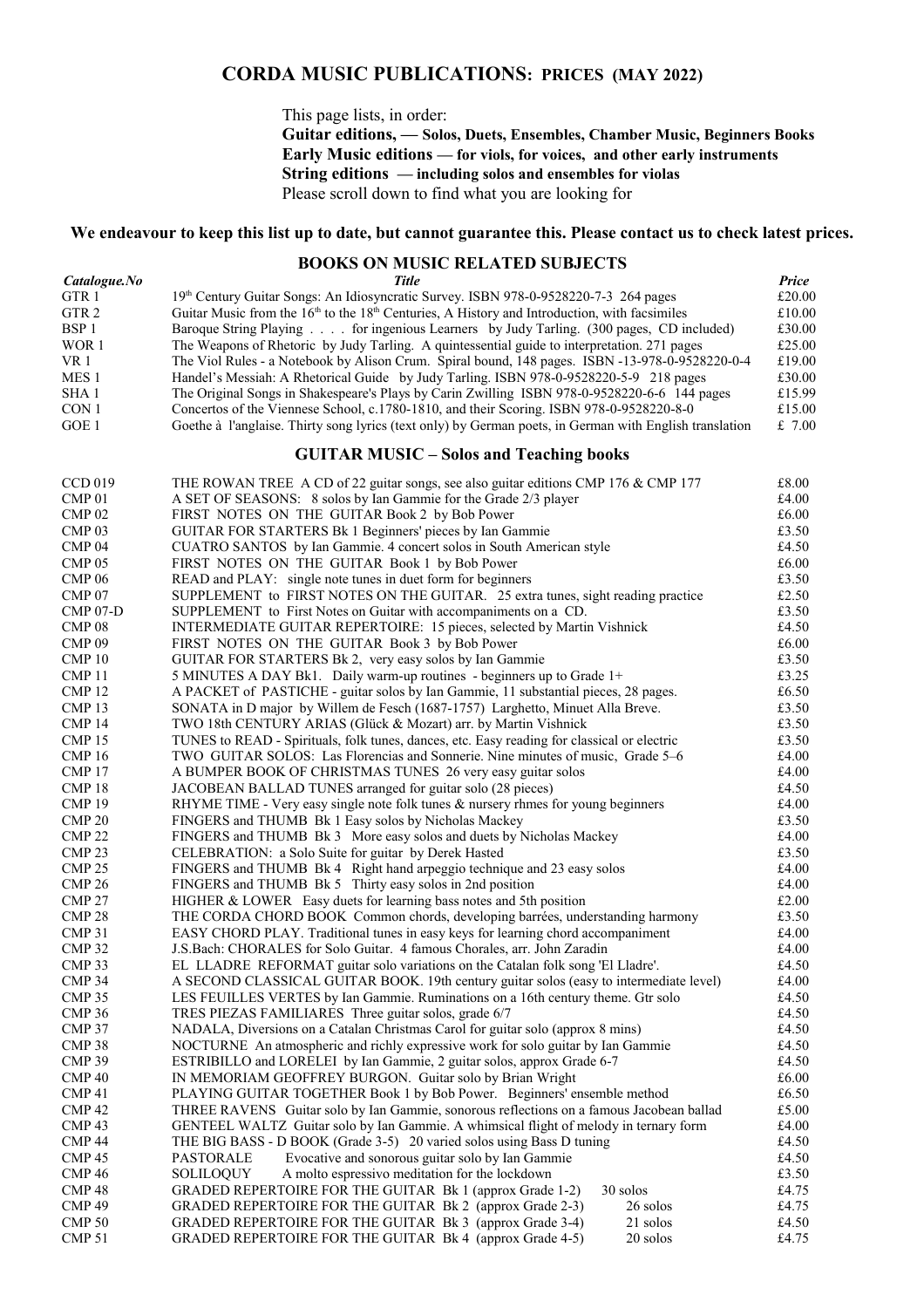# **CORDA MUSIC PUBLICATIONS: PRICES (MAY 2022)**

This page lists, in order:

**Guitar editions, — Solos, Duets, Ensembles, Chamber Music, Beginners Books Early Music editions — for viols, for voices, and other early instruments String editions — including solos and ensembles for violas** Please scroll down to find what you are looking for

#### **We endeavour to keep this list up to date, but cannot guarantee this. Please contact us to check latest prices.**

## **BOOKS ON MUSIC RELATED SUBJECTS**

| Catalogue.No | Title                                                                                                   | <b>Price</b> |
|--------------|---------------------------------------------------------------------------------------------------------|--------------|
| GTR 1        | 19th Century Guitar Songs: An Idiosyncratic Survey. ISBN 978-0-9528220-7-3 264 pages                    | £20.00       |
| GTR 2        | Guitar Music from the $16th$ to the $18th$ Centuries, A History and Introduction, with facsimiles       | £10.00       |
| BSP 1        | Baroque String Playing for ingenious Learners by Judy Tarling. (300 pages, CD included)                 | £30.00       |
| WOR 1        | The Weapons of Rhetoric by Judy Tarling. A quintessential guide to interpretation. 271 pages            | £25.00       |
| VR 1         | The Viol Rules - a Notebook by Alison Crum. Spiral bound, 148 pages. ISBN -13-978-0-9528220-0-4         | £19.00       |
| MES 1        | Handel's Messiah: A Rhetorical Guide by Judy Tarling. ISBN 978-0-9528220-5-9 218 pages                  | £30.00       |
| SHA 1        | The Original Songs in Shakespeare's Plays by Carin Zwilling ISBN 978-0-9528220-6-6 144 pages            | £15.99       |
| CON 1        | Concertos of the Viennese School, c.1780-1810, and their Scoring. ISBN 978-0-9528220-8-0                | £15.00       |
| GOE 1        | Goethe à l'anglaise. Thirty song lyrics (text only) by German poets, in German with English translation | £7.00        |

#### **GUITAR MUSIC – Solos and Teaching books**

| <b>CCD 019</b>    | THE ROWAN TREE A CD of 22 guitar songs, see also guitar editions CMP 176 & CMP 177          | $\pounds8.00$  |  |  |
|-------------------|---------------------------------------------------------------------------------------------|----------------|--|--|
| CMP <sub>01</sub> | A SET OF SEASONS: 8 solos by Ian Gammie for the Grade 2/3 player                            | £4.00          |  |  |
| CMP <sub>02</sub> | FIRST NOTES ON THE GUITAR Book 2 by Bob Power                                               | £6.00          |  |  |
| CMP <sub>03</sub> | <b>GUITAR FOR STARTERS Bk 1 Beginners' pieces by Ian Gammie</b>                             |                |  |  |
| CMP <sub>04</sub> | CUATRO SANTOS by Ian Gammie. 4 concert solos in South American style                        |                |  |  |
| CMP <sub>05</sub> | FIRST NOTES ON THE GUITAR Book 1 by Bob Power                                               | £6.00          |  |  |
| <b>CMP 06</b>     | READ and PLAY: single note tunes in duet form for beginners                                 | £3.50          |  |  |
| CMP <sub>07</sub> | SUPPLEMENT to FIRST NOTES ON THE GUITAR. 25 extra tunes, sight reading practice             | £2.50          |  |  |
| $CMP 07-D$        | SUPPLEMENT to First Notes on Guitar with accompaniments on a CD.                            | £3.50          |  |  |
| CMP <sub>08</sub> | INTERMEDIATE GUITAR REPERTOIRE: 15 pieces, selected by Martin Vishnick                      | £4.50          |  |  |
| CMP <sub>09</sub> | FIRST NOTES ON THE GUITAR Book 3 by Bob Power                                               | £6.00          |  |  |
| CMP <sub>10</sub> | GUITAR FOR STARTERS Bk 2, very easy solos by Ian Gammie                                     | £3.50          |  |  |
| CMP <sub>11</sub> | 5 MINUTES A DAY Bk1. Daily warm-up routines - beginners up to Grade 1+                      | £3.25          |  |  |
| CMP <sub>12</sub> | A PACKET of PASTICHE - guitar solos by Ian Gammie, 11 substantial pieces, 28 pages.         | £6.50          |  |  |
| CMP <sub>13</sub> | SONATA in D major by Willem de Fesch (1687-1757) Larghetto, Minuet Alla Breve.              | £3.50          |  |  |
| <b>CMP 14</b>     | TWO 18th CENTURY ARIAS (Glück & Mozart) arr. by Martin Vishnick                             | £3.50          |  |  |
| CMP <sub>15</sub> | TUNES to READ - Spirituals, folk tunes, dances, etc. Easy reading for classical or electric | £3.50          |  |  |
| <b>CMP 16</b>     | TWO GUITAR SOLOS: Las Florencias and Sonnerie. Nine minutes of music, Grade 5-6             | £4.00          |  |  |
| CMP <sub>17</sub> | A BUMPER BOOK OF CHRISTMAS TUNES 26 very easy guitar solos                                  | £4.00          |  |  |
| CMP <sub>18</sub> | JACOBEAN BALLAD TUNES arranged for guitar solo (28 pieces)                                  | £4.50          |  |  |
| CMP <sub>19</sub> | RHYME TIME - Very easy single note folk tunes $\&$ nursery rhmes for young beginners        | £4.00          |  |  |
| CMP <sub>20</sub> | FINGERS and THUMB Bk 1 Easy solos by Nicholas Mackey                                        | £3.50          |  |  |
| <b>CMP 22</b>     | FINGERS and THUMB Bk 3 More easy solos and duets by Nicholas Mackey                         | £4.00          |  |  |
| CMP <sub>23</sub> | CELEBRATION: a Solo Suite for guitar by Derek Hasted                                        | £3.50          |  |  |
| CMP <sub>25</sub> | FINGERS and THUMB Bk 4 Right hand arpeggio technique and 23 easy solos                      | £4.00          |  |  |
| <b>CMP 26</b>     | FINGERS and THUMB Bk 5 Thirty easy solos in 2nd position                                    | £4.00          |  |  |
| <b>CMP 27</b>     | HIGHER & LOWER Easy duets for learning bass notes and 5th position                          |                |  |  |
| CMP <sub>28</sub> | THE CORDA CHORD BOOK Common chords, developing barrées, understanding harmony               | £2.00<br>£3.50 |  |  |
| CMP <sub>31</sub> | EASY CHORD PLAY. Traditional tunes in easy keys for learning chord accompaniment            | £4.00          |  |  |
| <b>CMP 32</b>     | J.S.Bach: CHORALES for Solo Guitar. 4 famous Chorales, arr. John Zaradin                    | £4.00          |  |  |
| CMP <sub>33</sub> | EL LLADRE REFORMAT guitar solo variations on the Catalan folk song 'El Lladre'.             | £4.50          |  |  |
| <b>CMP 34</b>     | A SECOND CLASSICAL GUITAR BOOK. 19th century guitar solos (easy to intermediate level)      | £4.00          |  |  |
| <b>CMP 35</b>     | LES FEUILLES VERTES by Ian Gammie. Ruminations on a 16th century theme. Gtr solo            | £4.50          |  |  |
| <b>CMP 36</b>     | TRES PIEZAS FAMILIARES Three guitar solos, grade 6/7                                        | £4.50          |  |  |
| <b>CMP 37</b>     | NADALA, Diversions on a Catalan Christmas Carol for guitar solo (approx 8 mins)             | £4.50          |  |  |
| CMP <sub>38</sub> | NOCTURNE An atmospheric and richly expressive work for solo guitar by Ian Gammie            | £4.50          |  |  |
| <b>CMP 39</b>     | ESTRIBILLO and LORELEI by Ian Gammie, 2 guitar solos, approx Grade 6-7                      | £4.50          |  |  |
| CMP <sub>40</sub> | IN MEMORIAM GEOFFREY BURGON. Guitar solo by Brian Wright                                    | £6.00          |  |  |
| CMP <sub>41</sub> | PLAYING GUITAR TOGETHER Book 1 by Bob Power. Beginners' ensemble method                     | £6.50          |  |  |
| CMP <sub>42</sub> | THREE RAVENS Guitar solo by Ian Gammie, sonorous reflections on a famous Jacobean ballad    | £5.00          |  |  |
| CMP <sub>43</sub> | GENTEEL WALTZ Guitar solo by Ian Gammie. A whimsical flight of melody in ternary form       | £4.00          |  |  |
| <b>CMP 44</b>     | THE BIG BASS - D BOOK (Grade 3-5) 20 varied solos using Bass D tuning                       | £4.50          |  |  |
| CMP <sub>45</sub> | PASTORALE<br>Evocative and sonorous guitar solo by Ian Gammie                               | £4.50          |  |  |
| <b>CMP 46</b>     | A molto espressivo meditation for the lockdown<br>SOLILOQUY                                 | £3.50          |  |  |
| CMP <sub>48</sub> | GRADED REPERTOIRE FOR THE GUITAR Bk 1 (approx Grade 1-2)<br>30 solos                        | £4.75          |  |  |
| CMP <sub>49</sub> | GRADED REPERTOIRE FOR THE GUITAR Bk 2 (approx Grade 2-3)<br>26 solos                        | £4.75          |  |  |
| <b>CMP 50</b>     | GRADED REPERTOIRE FOR THE GUITAR Bk 3 (approx Grade 3-4)<br>21 solos                        | £4.50          |  |  |
| CMP <sub>51</sub> | GRADED REPERTOIRE FOR THE GUITAR Bk 4 (approx Grade 4-5)<br>20 solos                        | £4.75          |  |  |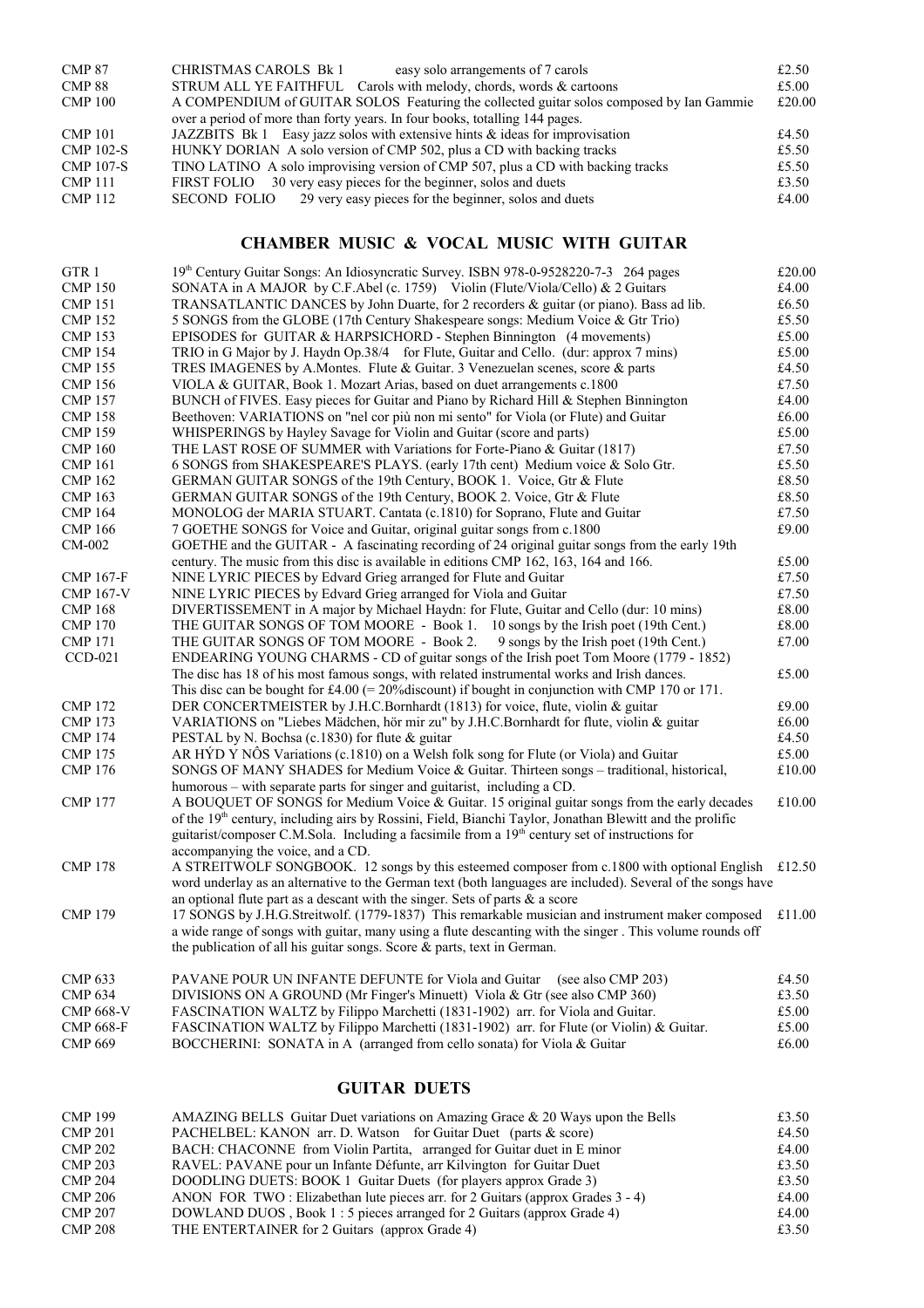| <b>CMP 87</b><br>CMP 88<br><b>CMP 100</b> | CHRISTMAS CAROLS Bk 1<br>easy solo arrangements of 7 carols<br>STRUM ALL YE FAITHFUL Carols with melody, chords, words & cartoons<br>A COMPENDIUM of GUITAR SOLOS Featuring the collected guitar solos composed by Ian Gammie | £2.50<br>£5.00<br>£20.00 |
|-------------------------------------------|-------------------------------------------------------------------------------------------------------------------------------------------------------------------------------------------------------------------------------|--------------------------|
|                                           | over a period of more than forty years. In four books, totalling 144 pages.                                                                                                                                                   |                          |
| <b>CMP 101</b>                            | JAZZBITS Bk 1 Easy jazz solos with extensive hints $\&$ ideas for improvisation                                                                                                                                               | £4.50                    |
| <b>CMP 102-S</b>                          | HUNKY DORIAN A solo version of CMP 502, plus a CD with backing tracks                                                                                                                                                         | £5.50                    |
| <b>CMP 107-S</b>                          | TINO LATINO A solo improvising version of CMP 507, plus a CD with backing tracks                                                                                                                                              | £5.50                    |
| <b>CMP 111</b>                            | 30 very easy pieces for the beginner, solos and duets<br>FIRST FOLIO                                                                                                                                                          | £3.50                    |
| <b>CMP 112</b>                            | 29 very easy pieces for the beginner, solos and duets<br>SECOND FOLIO                                                                                                                                                         | £4.00                    |

# **CHAMBER MUSIC & VOCAL MUSIC WITH GUITAR**

| GTR <sub>1</sub> | 19th Century Guitar Songs: An Idiosyncratic Survey. ISBN 978-0-9528220-7-3 264 pages                                                                                                                                  | £20.00        |  |
|------------------|-----------------------------------------------------------------------------------------------------------------------------------------------------------------------------------------------------------------------|---------------|--|
| <b>CMP 150</b>   | SONATA in A MAJOR by C.F. Abel (c. 1759) Violin (Flute/Viola/Cello) $\&$ 2 Guitars                                                                                                                                    | £4.00         |  |
| <b>CMP 151</b>   | TRANSATLANTIC DANCES by John Duarte, for 2 recorders & guitar (or piano). Bass ad lib.<br>£6.50                                                                                                                       |               |  |
| <b>CMP 152</b>   | £5.50<br>5 SONGS from the GLOBE (17th Century Shakespeare songs: Medium Voice & Gtr Trio)                                                                                                                             |               |  |
| <b>CMP 153</b>   | EPISODES for GUITAR & HARPSICHORD - Stephen Binnington (4 movements)<br>£5.00                                                                                                                                         |               |  |
| <b>CMP 154</b>   | TRIO in G Major by J. Haydn Op.38/4 for Flute, Guitar and Cello. (dur: approx 7 mins)<br>£5.00                                                                                                                        |               |  |
| <b>CMP 155</b>   | TRES IMAGENES by A. Montes. Flute & Guitar. 3 Venezuelan scenes, score & parts                                                                                                                                        | £4.50         |  |
| <b>CMP 156</b>   | VIOLA & GUITAR, Book 1. Mozart Arias, based on duet arrangements c.1800                                                                                                                                               | £7.50         |  |
| <b>CMP 157</b>   | BUNCH of FIVES. Easy pieces for Guitar and Piano by Richard Hill & Stephen Binnington                                                                                                                                 | £4.00         |  |
| <b>CMP 158</b>   | Beethoven: VARIATIONS on "nel cor più non mi sento" for Viola (or Flute) and Guitar                                                                                                                                   | £6.00         |  |
| <b>CMP 159</b>   | WHISPERINGS by Hayley Savage for Violin and Guitar (score and parts)                                                                                                                                                  | £5.00         |  |
| <b>CMP 160</b>   | THE LAST ROSE OF SUMMER with Variations for Forte-Piano & Guitar (1817)                                                                                                                                               | £7.50         |  |
| <b>CMP 161</b>   | 6 SONGS from SHAKESPEARE'S PLAYS. (early 17th cent) Medium voice & Solo Gtr.                                                                                                                                          | £5.50         |  |
| <b>CMP 162</b>   | GERMAN GUITAR SONGS of the 19th Century, BOOK 1. Voice, Gtr & Flute                                                                                                                                                   | £8.50         |  |
| <b>CMP 163</b>   | GERMAN GUITAR SONGS of the 19th Century, BOOK 2. Voice, Gtr & Flute                                                                                                                                                   | £8.50         |  |
| <b>CMP 164</b>   | MONOLOG der MARIA STUART. Cantata (c.1810) for Soprano, Flute and Guitar                                                                                                                                              | £7.50         |  |
| <b>CMP 166</b>   | 7 GOETHE SONGS for Voice and Guitar, original guitar songs from c.1800                                                                                                                                                | £9.00         |  |
| CM-002           | GOETHE and the GUITAR - A fascinating recording of 24 original guitar songs from the early 19th                                                                                                                       |               |  |
|                  | century. The music from this disc is available in editions CMP 162, 163, 164 and 166.                                                                                                                                 | £5.00         |  |
| <b>CMP 167-F</b> | NINE LYRIC PIECES by Edvard Grieg arranged for Flute and Guitar                                                                                                                                                       | £7.50         |  |
| <b>CMP 167-V</b> | NINE LYRIC PIECES by Edvard Grieg arranged for Viola and Guitar                                                                                                                                                       | £7.50         |  |
| <b>CMP 168</b>   |                                                                                                                                                                                                                       | £8.00         |  |
|                  | DIVERTISSEMENT in A major by Michael Haydn: for Flute, Guitar and Cello (dur: 10 mins)                                                                                                                                | £8.00         |  |
| <b>CMP 170</b>   | THE GUITAR SONGS OF TOM MOORE - Book 1. 10 songs by the Irish poet (19th Cent.)                                                                                                                                       |               |  |
| <b>CMP 171</b>   | THE GUITAR SONGS OF TOM MOORE - Book 2.<br>9 songs by the Irish poet (19th Cent.)                                                                                                                                     | £7.00         |  |
| $CCD-021$        | ENDEARING YOUNG CHARMS - CD of guitar songs of the Irish poet Tom Moore (1779 - 1852)                                                                                                                                 |               |  |
|                  | The disc has 18 of his most famous songs, with related instrumental works and Irish dances.                                                                                                                           | £5.00         |  |
|                  | This disc can be bought for £4.00 (= 20% discount) if bought in conjunction with CMP 170 or 171.                                                                                                                      |               |  |
| <b>CMP 172</b>   | DER CONCERTMEISTER by J.H.C.Bornhardt (1813) for voice, flute, violin & guitar                                                                                                                                        | £9.00         |  |
| <b>CMP 173</b>   | VARIATIONS on "Liebes Mädchen, hör mir zu" by J.H.C.Bornhardt for flute, violin & guitar                                                                                                                              | $\pounds6.00$ |  |
| <b>CMP 174</b>   | PESTAL by N. Bochsa (c.1830) for flute & guitar                                                                                                                                                                       | £4.50         |  |
| <b>CMP 175</b>   | AR HÝD Y NÔS Variations (c.1810) on a Welsh folk song for Flute (or Viola) and Guitar                                                                                                                                 | £5.00         |  |
| <b>CMP 176</b>   | SONGS OF MANY SHADES for Medium Voice & Guitar. Thirteen songs - traditional, historical,<br>humorous – with separate parts for singer and guitarist, including a CD.                                                 | £10.00        |  |
| <b>CMP 177</b>   | A BOUQUET OF SONGS for Medium Voice & Guitar. 15 original guitar songs from the early decades<br>of the 19 <sup>th</sup> century, including airs by Rossini, Field, Bianchi Taylor, Jonathan Blewitt and the prolific | £10.00        |  |
|                  | guitarist/composer C.M.Sola. Including a facsimile from a 19 <sup>th</sup> century set of instructions for                                                                                                            |               |  |
|                  | accompanying the voice, and a CD.                                                                                                                                                                                     |               |  |
| <b>CMP 178</b>   | A STREITWOLF SONGBOOK. 12 songs by this esteemed composer from c.1800 with optional English £12.50                                                                                                                    |               |  |
|                  | word underlay as an alternative to the German text (both languages are included). Several of the songs have                                                                                                           |               |  |
|                  | an optional flute part as a descant with the singer. Sets of parts $\&$ a score                                                                                                                                       |               |  |
| <b>CMP 179</b>   | 17 SONGS by J.H.G.Streitwolf. (1779-1837) This remarkable musician and instrument maker composed                                                                                                                      | £11.00        |  |
|                  | a wide range of songs with guitar, many using a flute descanting with the singer. This volume rounds off                                                                                                              |               |  |
|                  | the publication of all his guitar songs. Score $\&$ parts, text in German.                                                                                                                                            |               |  |
|                  |                                                                                                                                                                                                                       |               |  |
| <b>CMP 633</b>   | PAVANE POUR UN INFANTE DEFUNTE for Viola and Guitar (see also CMP 203)                                                                                                                                                | £4.50         |  |
| <b>CMP 634</b>   | DIVISIONS ON A GROUND (Mr Finger's Minuett) Viola & Gtr (see also CMP 360)                                                                                                                                            | £3.50         |  |
| <b>CMP 668-V</b> | FASCINATION WALTZ by Filippo Marchetti (1831-1902) arr. for Viola and Guitar.                                                                                                                                         | £5.00         |  |
| <b>CMP 668-F</b> | FASCINATION WALTZ by Filippo Marchetti (1831-1902) arr. for Flute (or Violin) & Guitar.                                                                                                                               | £5.00         |  |
| <b>CMP 669</b>   | BOCCHERINI: SONATA in A (arranged from cello sonata) for Viola & Guitar                                                                                                                                               | £6.00         |  |
|                  |                                                                                                                                                                                                                       |               |  |

## **GUITAR DUETS**

| <b>CMP 199</b> | AMAZING BELLS Guitar Duet variations on Amazing Grace & 20 Ways upon the Bells | £3.50 |
|----------------|--------------------------------------------------------------------------------|-------|
| <b>CMP 201</b> | PACHELBEL: KANON arr. D. Watson for Guitar Duet (parts & score)                | £4.50 |
| <b>CMP 202</b> | BACH: CHACONNE from Violin Partita, arranged for Guitar duet in E minor        | £4.00 |
| <b>CMP 203</b> | RAVEL: PAVANE pour un Infante Défunte, arr Kilvington for Guitar Duet          | £3.50 |
| <b>CMP 204</b> | DOODLING DUETS: BOOK 1 Guitar Duets (for players approx Grade 3)               | £3.50 |
| <b>CMP 206</b> | ANON FOR TWO: Elizabethan lute pieces arr. for 2 Guitars (approx Grades 3 - 4) | £4.00 |
| <b>CMP 207</b> | DOWLAND DUOS, Book 1:5 pieces arranged for 2 Guitars (approx Grade 4)          | £4.00 |
| <b>CMP 208</b> | THE ENTERTAINER for 2 Guitars (approx Grade 4)                                 | £3.50 |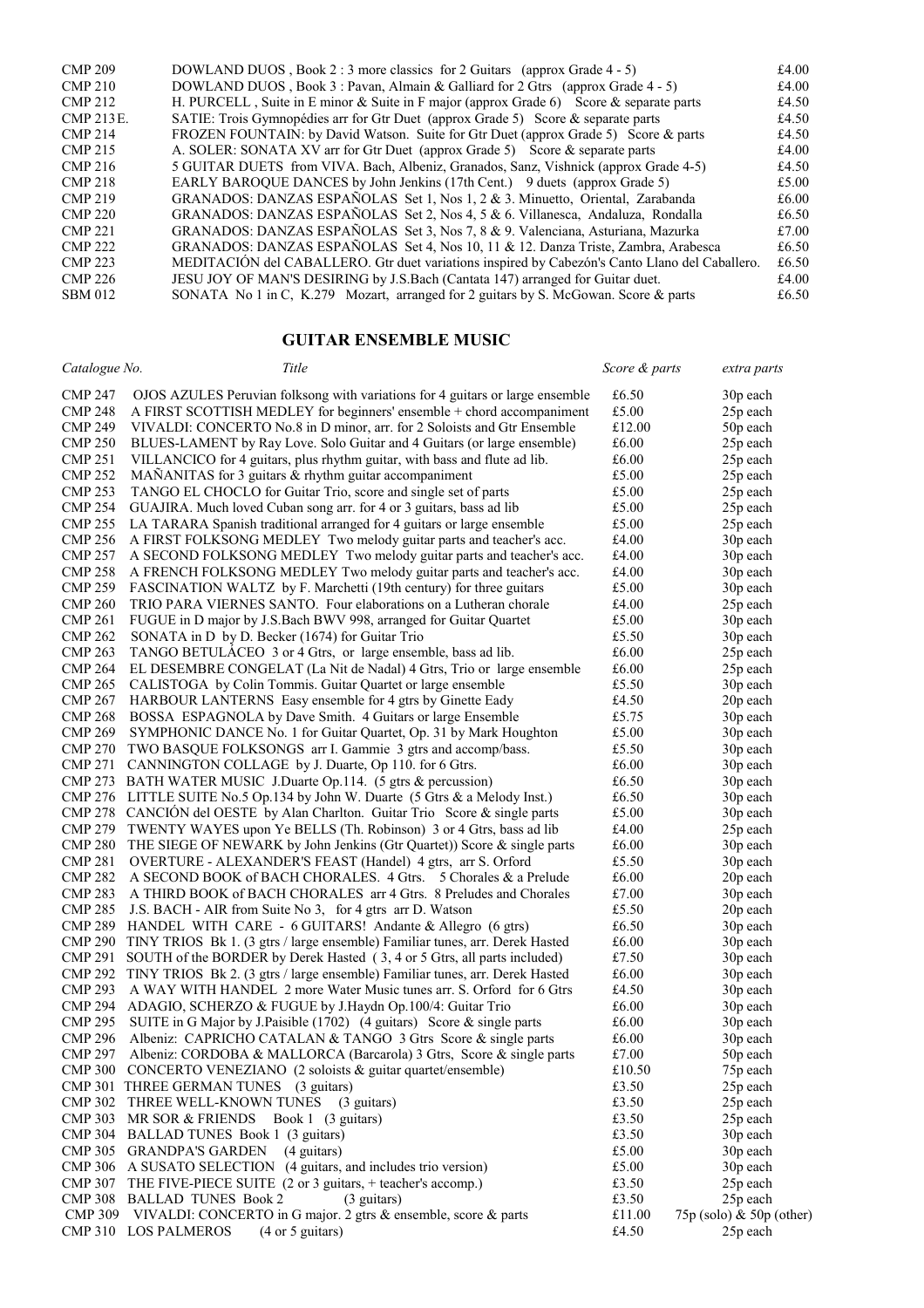| <b>CMP 209</b>   | DOWLAND DUOS, Book 2:3 more classics for 2 Guitars (approx Grade 4 - 5)                        | £4.00 |
|------------------|------------------------------------------------------------------------------------------------|-------|
| <b>CMP 210</b>   | DOWLAND DUOS, Book 3: Pavan, Almain & Galliard for 2 Gtrs (approx Grade $4 - 5$ )              | £4.00 |
| <b>CMP 212</b>   | H. PURCELL, Suite in E minor & Suite in F major (approx Grade 6) Score & separate parts        | £4.50 |
| <b>CMP 213E.</b> | SATIE: Trois Gymnopédies arr for Gtr Duet (approx Grade 5) Score & separate parts              | £4.50 |
| <b>CMP 214</b>   | FROZEN FOUNTAIN: by David Watson. Suite for Gtr Duet (approx Grade 5) Score & parts            | £4.50 |
| <b>CMP 215</b>   | A. SOLER: SONATA XV arr for Gtr Duet (approx Grade 5) Score & separate parts                   | £4.00 |
| <b>CMP 216</b>   | 5 GUITAR DUETS from VIVA. Bach, Albeniz, Granados, Sanz, Vishnick (approx Grade 4-5)           | £4.50 |
| <b>CMP 218</b>   | EARLY BAROQUE DANCES by John Jenkins (17th Cent.) 9 duets (approx Grade 5)                     | £5.00 |
| <b>CMP 219</b>   | GRANADOS: DANZAS ESPAÑOLAS Set 1, Nos 1, 2 & 3. Minuetto, Oriental, Zarabanda                  | £6.00 |
| <b>CMP 220</b>   | GRANADOS: DANZAS ESPAÑOLAS Set 2, Nos 4, 5 & 6. Villanesca, Andaluza, Rondalla                 | £6.50 |
| <b>CMP 221</b>   | GRANADOS: DANZAS ESPAÑOLAS Set 3, Nos 7, 8 & 9. Valenciana, Asturiana, Mazurka                 | £7.00 |
| <b>CMP 222</b>   | GRANADOS: DANZAS ESPAÑOLAS Set 4, Nos 10, 11 & 12. Danza Triste, Zambra, Arabesca              | £6.50 |
| <b>CMP 223</b>   | MEDITACIÓN del CABALLERO. Gtr duet variations inspired by Cabezón's Canto Llano del Caballero. | £6.50 |
| <b>CMP 226</b>   | JESU JOY OF MAN'S DESIRING by J.S.Bach (Cantata 147) arranged for Guitar duet.                 | £4.00 |
| <b>SBM 012</b>   | SONATA No 1 in C, K.279 Mozart, arranged for 2 guitars by S. McGowan. Score & parts            | £6.50 |

### **GUITAR ENSEMBLE MUSIC**

| Catalogue No.  | Title                                                                                  | Score & parts | extra parts                |
|----------------|----------------------------------------------------------------------------------------|---------------|----------------------------|
| <b>CMP 247</b> | OJOS AZULES Peruvian folksong with variations for 4 guitars or large ensemble          | £6.50         | 30p each                   |
| <b>CMP 248</b> | A FIRST SCOTTISH MEDLEY for beginners' ensemble + chord accompaniment                  | £5.00         | 25p each                   |
| <b>CMP 249</b> | VIVALDI: CONCERTO No.8 in D minor, arr. for 2 Soloists and Gtr Ensemble                | £12.00        | 50p each                   |
| <b>CMP 250</b> | BLUES-LAMENT by Ray Love. Solo Guitar and 4 Guitars (or large ensemble)                | £6.00         | 25p each                   |
| <b>CMP 251</b> | VILLANCICO for 4 guitars, plus rhythm guitar, with bass and flute ad lib.              | £6.00         | 25p each                   |
| <b>CMP 252</b> | MAÑANITAS for 3 guitars & rhythm guitar accompaniment                                  | £5.00         | 25p each                   |
| <b>CMP 253</b> | TANGO EL CHOCLO for Guitar Trio, score and single set of parts                         | £5.00         | 25p each                   |
| <b>CMP 254</b> | GUAJIRA. Much loved Cuban song arr. for 4 or 3 guitars, bass ad lib                    | £5.00         | 25p each                   |
|                |                                                                                        | £5.00         |                            |
| <b>CMP 255</b> | LA TARARA Spanish traditional arranged for 4 guitars or large ensemble                 |               | 25p each                   |
| <b>CMP 256</b> | A FIRST FOLKSONG MEDLEY Two melody guitar parts and teacher's acc.                     | £4.00         | 30p each                   |
| <b>CMP 257</b> | A SECOND FOLKSONG MEDLEY Two melody guitar parts and teacher's acc.                    | £4.00         | 30p each                   |
| <b>CMP 258</b> | A FRENCH FOLKSONG MEDLEY Two melody guitar parts and teacher's acc.                    | £4.00         | 30p each                   |
| <b>CMP 259</b> | FASCINATION WALTZ by F. Marchetti (19th century) for three guitars                     | £5.00         | 30p each                   |
| <b>CMP 260</b> | TRIO PARA VIERNES SANTO. Four elaborations on a Lutheran chorale                       | £4.00         | 25p each                   |
| <b>CMP 261</b> | FUGUE in D major by J.S.Bach BWV 998, arranged for Guitar Quartet                      | £5.00         | 30p each                   |
| <b>CMP 262</b> | SONATA in D by D. Becker (1674) for Guitar Trio                                        | £5.50         | 30p each                   |
| <b>CMP 263</b> | TANGO BETULACEO 3 or 4 Gtrs, or large ensemble, bass ad lib.                           | £6.00         | 25p each                   |
| <b>CMP 264</b> | EL DESEMBRE CONGELAT (La Nit de Nadal) 4 Gtrs, Trio or large ensemble                  | £6.00         | 25p each                   |
| <b>CMP 265</b> | CALISTOGA by Colin Tommis. Guitar Quartet or large ensemble                            | £5.50         | 30p each                   |
| <b>CMP 267</b> | HARBOUR LANTERNS Easy ensemble for 4 gtrs by Ginette Eady                              | £4.50         | 20p each                   |
| <b>CMP 268</b> | BOSSA ESPAGNOLA by Dave Smith. 4 Guitars or large Ensemble                             | £5.75         | 30p each                   |
| <b>CMP 269</b> | SYMPHONIC DANCE No. 1 for Guitar Quartet, Op. 31 by Mark Houghton                      | £5.00         | 30p each                   |
| <b>CMP 270</b> | TWO BASQUE FOLKSONGS arr I. Gammie 3 gtrs and accomp/bass.                             | £5.50         | 30p each                   |
| <b>CMP 271</b> | CANNINGTON COLLAGE by J. Duarte, Op 110. for 6 Gtrs.                                   | £6.00         | 30p each                   |
|                | CMP 273 BATH WATER MUSIC J.Duarte Op.114. (5 gtrs $\&$ percussion)                     | £6.50         | 30p each                   |
|                | CMP 276 LITTLE SUITE No.5 Op.134 by John W. Duarte (5 Gtrs & a Melody Inst.)           | £6.50         | 30p each                   |
|                | CMP 278 CANCIÓN del OESTE by Alan Charlton. Guitar Trio Score & single parts           | £5.00         | 30p each                   |
|                | CMP 279 TWENTY WAYES upon Ye BELLS (Th. Robinson) 3 or 4 Gtrs, bass ad lib             | £4.00         | 25p each                   |
|                | CMP 280 THE SIEGE OF NEWARK by John Jenkins (Gtr Quartet)) Score & single parts        | £6.00         | 30p each                   |
| <b>CMP 281</b> | OVERTURE - ALEXANDER'S FEAST (Handel) 4 gtrs, arr S. Orford                            | £5.50         | 30p each                   |
| <b>CMP 282</b> | A SECOND BOOK of BACH CHORALES. 4 Gtrs. 5 Chorales & a Prelude                         | £6.00         | 20p each                   |
| <b>CMP 283</b> | A THIRD BOOK of BACH CHORALES arr 4 Gtrs. 8 Preludes and Chorales                      | £7.00         | 30p each                   |
| <b>CMP 285</b> | J.S. BACH - AIR from Suite No 3, for 4 gtrs arr D. Watson                              | £5.50         | 20p each                   |
|                | CMP 289 HANDEL WITH CARE - 6 GUITARS! Andante & Allegro (6 gtrs)                       | £6.50         | 30p each                   |
|                | CMP 290 TINY TRIOS Bk 1. (3 gtrs / large ensemble) Familiar tunes, arr. Derek Hasted   | £6.00         | 30p each                   |
| <b>CMP 291</b> | SOUTH of the BORDER by Derek Hasted (3, 4 or 5 Gtrs, all parts included)               | £7.50         | 30p each                   |
|                | CMP 292 TINY TRIOS Bk 2. (3 gtrs / large ensemble) Familiar tunes, arr. Derek Hasted   | £6.00         | 30p each                   |
| <b>CMP 293</b> | A WAY WITH HANDEL 2 more Water Music tunes arr. S. Orford for 6 Gtrs                   | £4.50         | 30p each                   |
|                | CMP 294 ADAGIO, SCHERZO & FUGUE by J.Haydn Op.100/4: Guitar Trio                       | £6.00         | 30p each                   |
| <b>CMP 295</b> | SUITE in G Major by J.Paisible (1702) (4 guitars) Score & single parts                 | £6.00         | 30p each                   |
| <b>CMP 296</b> | Albeniz: CAPRICHO CATALAN & TANGO 3 Gtrs Score & single parts                          | £6.00         | 30p each                   |
| <b>CMP 297</b> | Albeniz: CORDOBA & MALLORCA (Barcarola) 3 Gtrs, Score & single parts                   | £7.00         | 50p each                   |
|                | CMP 300 CONCERTO VENEZIANO (2 soloists & guitar quartet/ensemble)                      | £10.50        | 75p each                   |
|                | CMP 301 THREE GERMAN TUNES (3 guitars)                                                 | £3.50         | 25p each                   |
|                | CMP 302 THREE WELL-KNOWN TUNES (3 guitars)                                             | £3.50         | 25p each                   |
|                |                                                                                        | £3.50         | 25p each                   |
|                | CMP 303 MR SOR & FRIENDS Book 1 (3 guitars)<br>CMP 304 BALLAD TUNES Book 1 (3 guitars) |               |                            |
|                |                                                                                        | £3.50         | 30p each                   |
|                | CMP 305 GRANDPA'S GARDEN (4 guitars)                                                   | £5.00         | 30p each                   |
|                | CMP 306 A SUSATO SELECTION (4 guitars, and includes trio version)                      | £5.00         | 30p each                   |
|                | CMP 307 THE FIVE-PIECE SUITE (2 or 3 guitars, + teacher's accomp.)                     | £3.50         | 25p each                   |
|                | CMP 308 BALLAD TUNES Book 2<br>(3 guitars)                                             | £3.50         | 25p each                   |
|                | CMP 309 VIVALDI: CONCERTO in G major. 2 gtrs & ensemble, score & parts                 | £11.00        | 75p (solo) $&$ 50p (other) |
|                | CMP 310 LOS PALMEROS<br>$(4 \text{ or } 5 \text{ guitars})$                            | £4.50         | 25p each                   |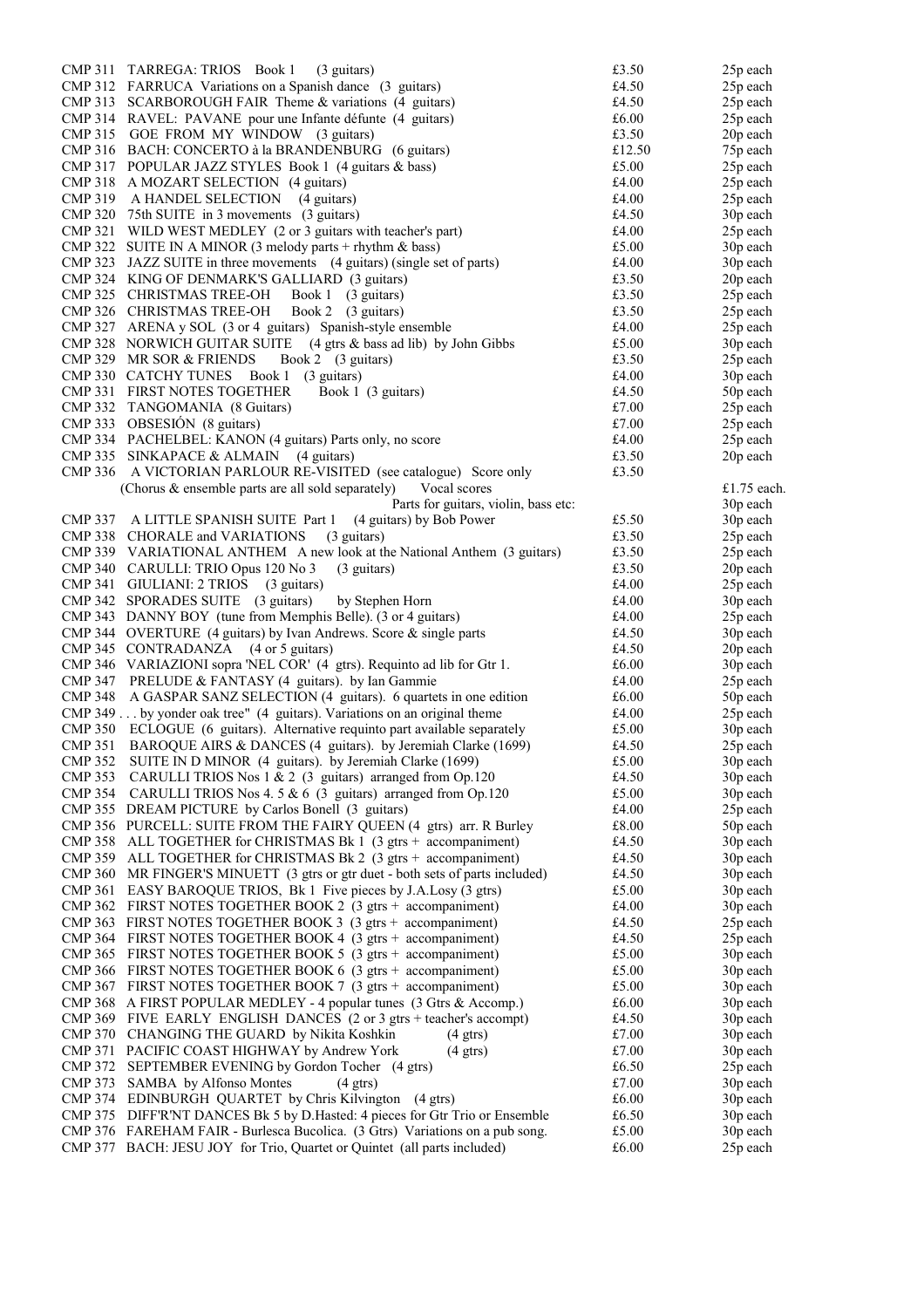| CMP 311        | TARREGA: TRIOS Book 1<br>(3 guitars)                                                                       | £3.50          | 25p each             |
|----------------|------------------------------------------------------------------------------------------------------------|----------------|----------------------|
|                | CMP 312 FARRUCA Variations on a Spanish dance (3 guitars)                                                  | £4.50          | 25p each             |
|                | CMP 313 SCARBOROUGH FAIR Theme & variations (4 guitars)                                                    | £4.50          | 25p each             |
|                | CMP 314 RAVEL: PAVANE pour une Infante défunte (4 guitars)                                                 | £6.00          | 25p each             |
|                | CMP 315 GOE FROM MY WINDOW (3 guitars)                                                                     | £3.50          | 20p each             |
|                | CMP 316 BACH: CONCERTO à la BRANDENBURG (6 guitars)                                                        | £12.50         | 75p each             |
|                | CMP 317 POPULAR JAZZ STYLES Book 1 (4 guitars & bass)                                                      | £5.00          | 25p each             |
|                | CMP 318 A MOZART SELECTION (4 guitars)                                                                     | £4.00          | 25p each             |
|                | CMP 319 A HANDEL SELECTION (4 guitars)                                                                     | £4.00          | 25p each             |
|                | CMP 320 75th SUITE in 3 movements (3 guitars)                                                              | £4.50          | 30p each             |
|                | CMP 321 WILD WEST MEDLEY (2 or 3 guitars with teacher's part)                                              | £4.00          | 25p each             |
|                | CMP 322 SUITE IN A MINOR (3 melody parts + rhythm $\&$ bass)                                               | £5.00          | 30p each             |
|                | CMP 323 JAZZ SUITE in three movements (4 guitars) (single set of parts)                                    | £4.00          | 30p each             |
|                | CMP 324 KING OF DENMARK'S GALLIARD (3 guitars)                                                             | £3.50          | 20p each             |
|                | CMP 325 CHRISTMAS TREE-OH<br>Book 1 (3 guitars)                                                            | £3.50          | 25p each             |
|                | CMP 326 CHRISTMAS TREE-OH<br>Book 2 (3 guitars)                                                            | £3.50          | 25p each             |
|                | CMP 327 ARENA y SOL (3 or 4 guitars) Spanish-style ensemble                                                | £4.00          | 25p each             |
|                | CMP 328 NORWICH GUITAR SUITE (4 gtrs & bass ad lib) by John Gibbs                                          | £5.00          | 30p each             |
|                | CMP 329 MR SOR & FRIENDS<br>Book 2 (3 guitars)                                                             | £3.50          | 25p each             |
|                | CMP 330 CATCHY TUNES Book 1 (3 guitars)                                                                    | £4.00          | 30p each             |
|                | Book 1 (3 guitars)<br><b>CMP 331 FIRST NOTES TOGETHER</b>                                                  | £4.50          | 50p each             |
|                | CMP 332 TANGOMANIA (8 Guitars)                                                                             | £7.00          | 25p each             |
|                | CMP 333 OBSESIÓN (8 guitars)                                                                               | £7.00          | 25p each             |
|                | CMP 334 PACHELBEL: KANON (4 guitars) Parts only, no score                                                  | £4.00          | 25p each             |
|                | CMP 335 SINKAPACE & ALMAIN (4 guitars)                                                                     | £3.50          | 20p each             |
|                | CMP 336 A VICTORIAN PARLOUR RE-VISITED (see catalogue) Score only                                          | £3.50          |                      |
|                | (Chorus & ensemble parts are all sold separately)<br>Vocal scores                                          |                | £1.75 each.          |
|                | Parts for guitars, violin, bass etc:                                                                       |                | 30p each             |
|                | CMP 337 A LITTLE SPANISH SUITE Part 1<br>(4 guitars) by Bob Power                                          | £5.50          | 30p each             |
|                | (3 guitars)<br>CMP 338 CHORALE and VARIATIONS                                                              | £3.50          | 25p each             |
|                | CMP 339 VARIATIONAL ANTHEM A new look at the National Anthem (3 guitars)                                   | £3.50          | 25p each             |
|                | CMP 340 CARULLI: TRIO Opus 120 No 3<br>(3 guitars)                                                         | £3.50          | 20p each             |
|                | CMP 341 GIULIANI: 2 TRIOS (3 guitars)                                                                      | £4.00          | 25p each             |
|                | CMP 342 SPORADES SUITE (3 guitars)<br>by Stephen Horn                                                      | £4.00          | 30p each             |
|                | CMP 343 DANNY BOY (tune from Memphis Belle). (3 or 4 guitars)                                              | £4.00          | 25p each             |
|                | CMP 344 OVERTURE (4 guitars) by Ivan Andrews. Score & single parts<br>CMP 345 CONTRADANZA (4 or 5 guitars) | £4.50          | 30p each             |
|                | CMP 346 VARIAZIONI sopra 'NEL COR' (4 gtrs). Requinto ad lib for Gtr 1.                                    | £4.50<br>£6.00 | 20p each<br>30p each |
|                | CMP 347 PRELUDE & FANTASY (4 guitars). by Ian Gammie                                                       | £4.00          | 25p each             |
|                | CMP 348 A GASPAR SANZ SELECTION (4 guitars). 6 quartets in one edition                                     | £6.00          | 50p each             |
|                | CMP 349 by yonder oak tree" (4 guitars). Variations on an original theme                                   | £4.00          | 25p each             |
|                | CMP 350 ECLOGUE (6 guitars). Alternative requinto part available separately                                | £5.00          | 30p each             |
|                | CMP 351 BAROQUE AIRS & DANCES (4 guitars). by Jeremiah Clarke (1699)                                       | £4.50          | 25p each             |
|                | CMP 352 SUITE IN D MINOR (4 guitars). by Jeremiah Clarke (1699)                                            | $\pounds5.00$  | 30p each             |
| <b>CMP</b> 353 | CARULLI TRIOS Nos 1 & 2 (3 guitars) arranged from Op.120                                                   | £4.50          | 30p each             |
| <b>CMP 354</b> | CARULLI TRIOS Nos 4.5 & 6 (3 guitars) arranged from Op.120                                                 | £5.00          | 30p each             |
|                | CMP 355 DREAM PICTURE by Carlos Bonell (3 guitars)                                                         | £4.00          | 25p each             |
|                | CMP 356 PURCELL: SUITE FROM THE FAIRY QUEEN (4 gtrs) arr. R Burley                                         | £8.00          | 50p each             |
|                | CMP 358 ALL TOGETHER for CHRISTMAS Bk 1 (3 gtrs + accompaniment)                                           | £4.50          | 30p each             |
|                | CMP 359 ALL TOGETHER for CHRISTMAS Bk 2 (3 gtrs + accompaniment)                                           | £4.50          | 30p each             |
|                | CMP 360 MR FINGER'S MINUETT (3 gtrs or gtr duet - both sets of parts included)                             | £4.50          | 30p each             |
|                | CMP 361 EASY BAROQUE TRIOS, Bk 1 Five pieces by J.A.Losy (3 gtrs)                                          | £5.00          | 30p each             |
|                | CMP 362 FIRST NOTES TOGETHER BOOK 2 $(3 \text{ gtrs} + \text{accompaniment})$                              | £4.00          | 30p each             |
|                | CMP 363 FIRST NOTES TOGETHER BOOK 3 (3 gtrs + accompaniment)                                               | £4.50          | 25p each             |
|                | CMP 364 FIRST NOTES TOGETHER BOOK 4 $(3 \text{ gtrs} + \text{accompaniment})$                              | £4.50          | 25p each             |
|                | CMP 365 FIRST NOTES TOGETHER BOOK 5 $(3 \text{ gtrs} + \text{accompaniment})$                              | £5.00          | 30p each             |
|                | CMP 366 FIRST NOTES TOGETHER BOOK 6 $(3 \text{ gtrs} + \text{accompaniment})$                              | £5.00          | 30p each             |
|                | CMP 367 FIRST NOTES TOGETHER BOOK 7 (3 gtrs + accompaniment)                                               | £5.00          | 30p each             |
|                | CMP 368 A FIRST POPULAR MEDLEY - 4 popular tunes (3 Gtrs & Accomp.)                                        | £6.00          | 30p each             |
|                | CMP 369 FIVE EARLY ENGLISH DANCES (2 or 3 gtrs + teacher's accompt)                                        | £4.50          | 30p each             |
|                | CMP 370 CHANGING THE GUARD by Nikita Koshkin<br>$(4 \text{ gtrs})$                                         | £7.00          | 30p each             |
|                | CMP 371 PACIFIC COAST HIGHWAY by Andrew York<br>$(4 \text{ gtrs})$                                         | £7.00          | 30p each             |
| CMP 372        | SEPTEMBER EVENING by Gordon Tocher (4 gtrs)                                                                | £6.50          | 25p each             |
| CMP 373        | SAMBA by Alfonso Montes<br>$(4 \text{ gtrs})$                                                              | £7.00          | 30p each             |
|                | CMP 374 EDINBURGH QUARTET by Chris Kilvington (4 gtrs)                                                     | £6.00          | 30p each             |
|                | CMP 375 DIFF'R'NT DANCES Bk 5 by D.Hasted: 4 pieces for Gtr Trio or Ensemble                               | £6.50          | 30p each             |
|                | CMP 376 FAREHAM FAIR - Burlesca Bucolica. (3 Gtrs) Variations on a pub song.                               | £5.00          | 30p each             |
|                | CMP 377 BACH: JESU JOY for Trio, Quartet or Quintet (all parts included)                                   | £6.00          | 25p each             |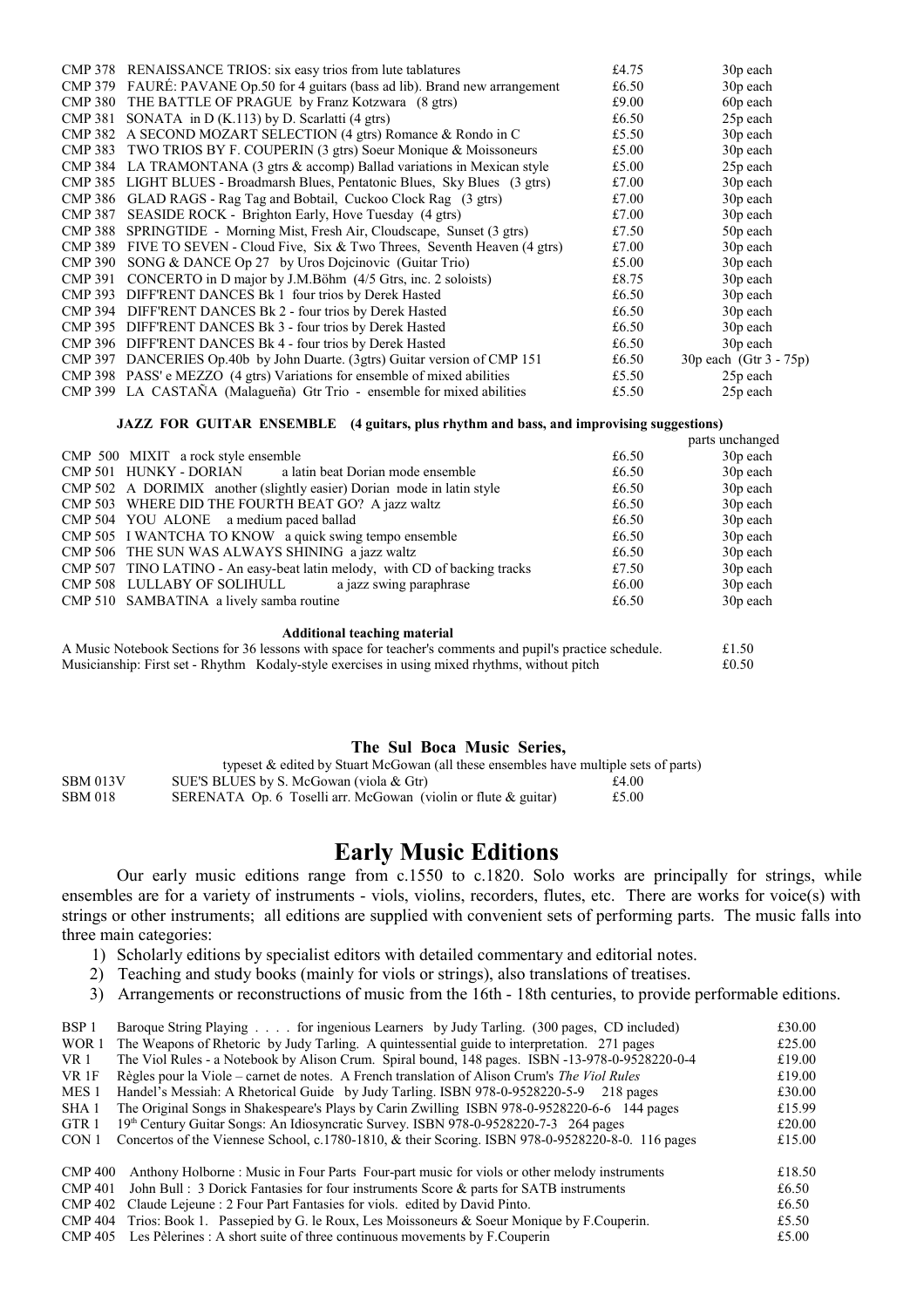| <b>CMP 378</b> | RENAISSANCE TRIOS: six easy trios from lute tablatures                    | £4.75 | 30 <sub>p</sub> each   |
|----------------|---------------------------------------------------------------------------|-------|------------------------|
| <b>CMP 379</b> | FAURÉ: PAVANE Op.50 for 4 guitars (bass ad lib). Brand new arrangement    | £6.50 | 30 <sub>p</sub> each   |
| <b>CMP 380</b> | THE BATTLE OF PRAGUE by Franz Kotzwara (8 gtrs)                           | £9.00 | 60p each               |
| <b>CMP 381</b> | SONATA in D (K.113) by D. Scarlatti (4 gtrs)                              | £6.50 | 25p each               |
| <b>CMP 382</b> | A SECOND MOZART SELECTION (4 gtrs) Romance & Rondo in C                   | £5.50 | 30p each               |
| <b>CMP 383</b> | TWO TRIOS BY F. COUPERIN (3 gtrs) Soeur Monique & Moissoneurs             | £5.00 | 30p each               |
| <b>CMP 384</b> | LA TRAMONTANA (3 gtrs & accomp) Ballad variations in Mexican style        | £5.00 | 25p each               |
| <b>CMP 385</b> | LIGHT BLUES - Broadmarsh Blues, Pentatonic Blues, Sky Blues (3 gtrs)      | £7.00 | 30p each               |
| <b>CMP 386</b> | GLAD RAGS - Rag Tag and Bobtail, Cuckoo Clock Rag (3 gtrs)                | £7.00 | 30p each               |
| <b>CMP 387</b> | <b>SEASIDE ROCK - Brighton Early, Hove Tuesday (4 gtrs)</b>               | £7.00 | 30p each               |
| <b>CMP 388</b> | SPRINGTIDE - Morning Mist, Fresh Air, Cloudscape, Sunset (3 gtrs)         | £7.50 | 50p each               |
| <b>CMP 389</b> | FIVE TO SEVEN - Cloud Five, Six & Two Threes, Seventh Heaven (4 gtrs)     | £7.00 | 30p each               |
| <b>CMP 390</b> | SONG & DANCE Op 27 by Uros Dojcinovic (Guitar Trio)                       | £5.00 | 30p each               |
| <b>CMP 391</b> | CONCERTO in D major by J.M.Böhm (4/5 Gtrs, inc. 2 soloists)               | £8.75 | 30p each               |
| <b>CMP 393</b> | DIFF'RENT DANCES Bk 1 four trios by Derek Hasted                          | £6.50 | 30p each               |
| <b>CMP 394</b> | DIFF'RENT DANCES Bk 2 - four trios by Derek Hasted                        | £6.50 | 30 <sub>p</sub> each   |
| <b>CMP 395</b> | DIFF'RENT DANCES Bk 3 - four trios by Derek Hasted                        | £6.50 | 30 <sub>p</sub> each   |
| <b>CMP 396</b> | DIFF'RENT DANCES Bk 4 - four trios by Derek Hasted                        | £6.50 | 30 <sub>p</sub> each   |
| <b>CMP 397</b> | DANCERIES Op.40b by John Duarte. (3gtrs) Guitar version of CMP 151        | £6.50 | 30p each (Gtr 3 - 75p) |
|                | CMP 398 PASS' e MEZZO (4 gtrs) Variations for ensemble of mixed abilities | £5.50 | 25p each               |
|                | CMP 399 LA CASTAÑA (Malagueña) Gtr Trio - ensemble for mixed abilities    | £5.50 | 25p each               |

#### **JAZZ FOR GUITAR ENSEMBLE (4 guitars, plus rhythm and bass, and improvising suggestions)**

|                                                                            |       | parts unchanged      |
|----------------------------------------------------------------------------|-------|----------------------|
| CMP 500 MIXIT a rock style ensemble                                        | £6.50 | 30 <sub>p</sub> each |
| CMP 501 HUNKY - DORIAN<br>a latin beat Dorian mode ensemble                | £6.50 | 30 <sub>p</sub> each |
| CMP 502 A DORIMIX another (slightly easier) Dorian mode in latin style     | £6.50 | 30 <sub>p</sub> each |
| CMP 503 WHERE DID THE FOURTH BEAT GO? A jazz waltz                         | £6.50 | 30 <sub>p</sub> each |
| CMP 504 YOU ALONE a medium paced ballad                                    | £6.50 | 30 <sub>p</sub> each |
| CMP 505 I WANTCHA TO KNOW a quick swing tempo ensemble                     | £6.50 | 30 <sub>p</sub> each |
| CMP 506 THE SUN WAS ALWAYS SHINING a jazz waltz                            | £6.50 | 30p each             |
| CMP 507 TINO LATINO - An easy-beat latin melody, with CD of backing tracks | £7.50 | 30 <sub>p</sub> each |
| CMP 508 LULLABY OF SOLIHULL a jazz swing paraphrase                        | £6.00 | 30 <sub>p</sub> each |
| CMP 510 SAMBATINA a lively samba routine                                   | £6.50 | 30 <sub>p</sub> each |
| <b>Additional teaching material</b>                                        |       |                      |
|                                                                            |       |                      |

| A Music Notebook Sections for 36 lessons with space for teacher's comments and pupil's practice schedule. | £1.50 |
|-----------------------------------------------------------------------------------------------------------|-------|
| Musicianship: First set - Rhythm Kodaly-style exercises in using mixed rhythms, without pitch             | £0.50 |

#### **The Sul Boca Music Series,**

|                 | typeset & edited by Stuart McGowan (all these ensembles have multiple sets of parts) |       |
|-----------------|--------------------------------------------------------------------------------------|-------|
| <b>SBM 013V</b> | SUE'S BLUES by S. McGowan (viola & Gtr)                                              | £4.00 |
| SBM 018         | SERENATA Op. 6 Toselli arr. McGowan (violin or flute $\&$ guitar)                    | £5.00 |

# **Early Music Editions**

Our early music editions range from c.1550 to c.1820. Solo works are principally for strings, while ensembles are for a variety of instruments - viols, violins, recorders, flutes, etc. There are works for voice(s) with strings or other instruments; all editions are supplied with convenient sets of performing parts. The music falls into three main categories:

- 1) Scholarly editions by specialist editors with detailed commentary and editorial notes.
- 2) Teaching and study books (mainly for viols or strings), also translations of treatises.
- 3) Arrangements or reconstructions of music from the 16th 18th centuries, to provide performable editions.

| BSP 1            | Baroque String Playing for ingenious Learners by Judy Tarling. (300 pages, CD included)           | £30.00 |
|------------------|---------------------------------------------------------------------------------------------------|--------|
| WOR 1            | The Weapons of Rhetoric by Judy Tarling. A quintessential guide to interpretation. 271 pages      | £25.00 |
| VR 1             | The Viol Rules - a Notebook by Alison Crum. Spiral bound, 148 pages. ISBN -13-978-0-9528220-0-4   | £19.00 |
| VR 1F            | Règles pour la Viole – carnet de notes. A French translation of Alison Crum's The Viol Rules      | £19.00 |
| MES <sub>1</sub> | Handel's Messiah: A Rhetorical Guide by Judy Tarling. ISBN 978-0-9528220-5-9 218 pages            | £30.00 |
| SHA <sub>1</sub> | The Original Songs in Shakespeare's Plays by Carin Zwilling ISBN 978-0-9528220-6-6 144 pages      | £15.99 |
| GTR <sub>1</sub> | 19th Century Guitar Songs: An Idiosyncratic Survey. ISBN 978-0-9528220-7-3 264 pages              | £20.00 |
| CON 1            | Concertos of the Viennese School, c.1780-1810, & their Scoring. ISBN 978-0-9528220-8-0. 116 pages | £15.00 |
| <b>CMP 400</b>   | Anthony Holborne: Music in Four Parts Four-part music for viols or other melody instruments       | £18.50 |
| <b>CMP 401</b>   | John Bull: 3 Dorick Fantasies for four instruments Score & parts for SATB instruments             | £6.50  |
| CMP 402          | Claude Lejeune : 2 Four Part Fantasies for viols. edited by David Pinto.                          | £6.50  |
| <b>CMP 404</b>   | Trios: Book 1. Passepied by G. le Roux, Les Moissoneurs & Soeur Monique by F. Couperin.           | £5.50  |

CMP 405 Les Pèlerines : A short suite of three continuous movements by F.Couperin  $£5.00$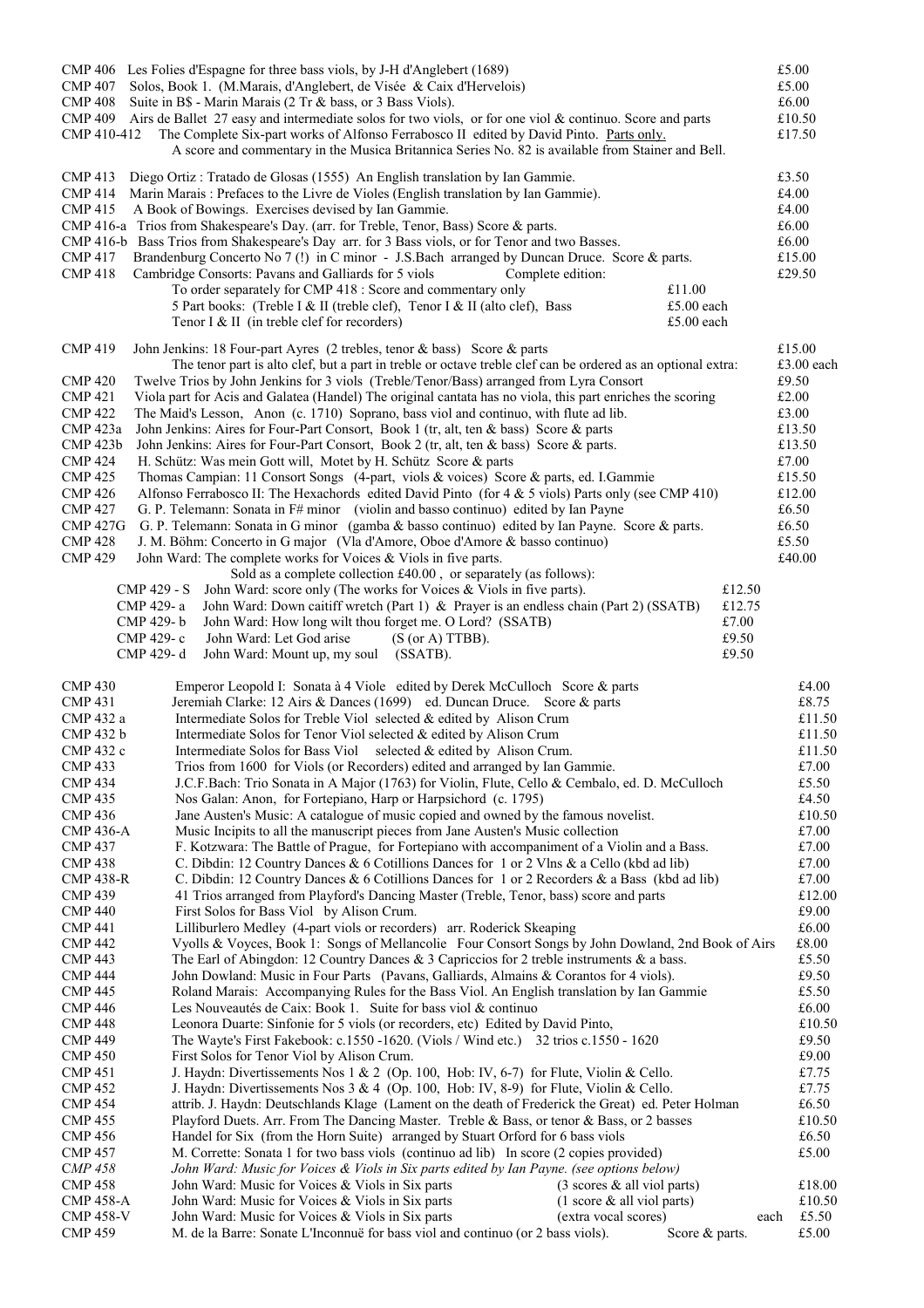|                                      | CMP 406 Les Folies d'Espagne for three bass viols, by J-H d'Anglebert (1689)                                                                                                              |                | £5.00            |
|--------------------------------------|-------------------------------------------------------------------------------------------------------------------------------------------------------------------------------------------|----------------|------------------|
|                                      | CMP 407 Solos, Book 1. (M.Marais, d'Anglebert, de Visée & Caix d'Hervelois)                                                                                                               |                | £5.00            |
| <b>CMP 408</b>                       | Suite in B\$ - Marin Marais (2 Tr & bass, or 3 Bass Viols).<br>Airs de Ballet 27 easy and intermediate solos for two viols, or for one viol & continuo. Score and parts                   |                | £6.00            |
| <b>CMP 409</b><br>CMP 410-412        | The Complete Six-part works of Alfonso Ferrabosco II edited by David Pinto. Parts only.                                                                                                   |                | £10.50<br>£17.50 |
|                                      | A score and commentary in the Musica Britannica Series No. 82 is available from Stainer and Bell.                                                                                         |                |                  |
| <b>CMP 413</b>                       | Diego Ortiz: Tratado de Glosas (1555) An English translation by Ian Gammie.                                                                                                               |                | £3.50            |
| <b>CMP 414</b>                       | Marin Marais: Prefaces to the Livre de Violes (English translation by Ian Gammie).                                                                                                        |                | £4.00            |
| <b>CMP 415</b>                       | A Book of Bowings. Exercises devised by Ian Gammie.                                                                                                                                       |                | £4.00            |
|                                      | CMP 416-a Trios from Shakespeare's Day. (arr. for Treble, Tenor, Bass) Score & parts.                                                                                                     |                | £6.00            |
|                                      | CMP 416-b Bass Trios from Shakespeare's Day arr. for 3 Bass viols, or for Tenor and two Basses.                                                                                           |                | £6.00            |
| <b>CMP 417</b>                       | Brandenburg Concerto No 7 (!) in C minor - J.S.Bach arranged by Duncan Druce. Score & parts.                                                                                              |                | £15.00           |
| <b>CMP 418</b>                       | Cambridge Consorts: Pavans and Galliards for 5 viols<br>Complete edition:<br>£11.00<br>To order separately for CMP 418 : Score and commentary only                                        |                | £29.50           |
|                                      | 5 Part books: (Treble I & II (treble clef), Tenor I & II (alto clef), Bass                                                                                                                | £5.00 each     |                  |
|                                      | Tenor I & II (in treble clef for recorders)                                                                                                                                               | £5.00 each     |                  |
| <b>CMP 419</b>                       | John Jenkins: 18 Four-part Ayres (2 trebles, tenor & bass) Score & parts                                                                                                                  |                | £15.00           |
|                                      | The tenor part is alto clef, but a part in treble or octave treble clef can be ordered as an optional extra:                                                                              |                | £3.00 each       |
| <b>CMP 420</b>                       | Twelve Trios by John Jenkins for 3 viols (Treble/Tenor/Bass) arranged from Lyra Consort                                                                                                   |                | £9.50            |
| <b>CMP 421</b>                       | Viola part for Acis and Galatea (Handel) The original cantata has no viola, this part enriches the scoring                                                                                |                | £2.00            |
| <b>CMP 422</b>                       | The Maid's Lesson, Anon (c. 1710) Soprano, bass viol and continuo, with flute ad lib.                                                                                                     |                | £3.00            |
| <b>CMP</b> 423a<br><b>CMP 423b</b>   | John Jenkins: Aires for Four-Part Consort, Book 1 (tr, alt, ten & bass) Score & parts<br>John Jenkins: Aires for Four-Part Consort, Book 2 (tr, alt, ten & bass) Score & parts.           |                | £13.50<br>£13.50 |
| <b>CMP 424</b>                       | H. Schütz: Was mein Gott will, Motet by H. Schütz Score & parts                                                                                                                           |                | £7.00            |
| <b>CMP 425</b>                       | Thomas Campian: 11 Consort Songs (4-part, viols & voices) Score & parts, ed. I.Gammie                                                                                                     |                | £15.50           |
| <b>CMP 426</b>                       | Alfonso Ferrabosco II: The Hexachords edited David Pinto (for $4 \& 5$ viols) Parts only (see CMP 410)                                                                                    |                | £12.00           |
| <b>CMP 427</b>                       | G. P. Telemann: Sonata in F# minor (violin and basso continuo) edited by Ian Payne                                                                                                        |                | £6.50            |
| <b>CMP 427G</b>                      | G. P. Telemann: Sonata in G minor (gamba & basso continuo) edited by Ian Payne. Score & parts.                                                                                            |                | £6.50            |
| <b>CMP 428</b>                       | J. M. Böhm: Concerto in G major (Vla d'Amore, Oboe d'Amore & basso continuo)                                                                                                              |                | £5.50            |
| <b>CMP 429</b>                       | John Ward: The complete works for Voices & Viols in five parts.<br>Sold as a complete collection £40.00, or separately (as follows):                                                      |                | £40.00           |
| CMP 429 - S                          | John Ward: score only (The works for Voices & Viols in five parts).                                                                                                                       | £12.50         |                  |
| CMP 429-a                            | John Ward: Down caitiff wretch (Part 1) & Prayer is an endless chain (Part 2) (SSATB)                                                                                                     | £12.75         |                  |
| CMP 429-b                            | John Ward: How long wilt thou forget me. O Lord? (SSATB)                                                                                                                                  | £7.00          |                  |
| CMP 429-c                            | John Ward: Let God arise<br>$(S (or A) TTBB)$ .                                                                                                                                           | £9.50          |                  |
| CMP 429-d                            | John Ward: Mount up, my soul<br>(SSATB).                                                                                                                                                  | £9.50          |                  |
| <b>CMP 430</b>                       | Emperor Leopold I: Sonata à 4 Viole edited by Derek McCulloch Score & parts                                                                                                               |                | £4.00            |
| <b>CMP 431</b>                       | Jeremiah Clarke: 12 Airs & Dances (1699) ed. Duncan Druce. Score & parts                                                                                                                  |                | £8.75            |
| CMP 432 a<br>CMP 432 b               | Intermediate Solos for Treble Viol selected & edited by Alison Crum                                                                                                                       |                | £11.50<br>£11.50 |
| CMP 432 c                            | Intermediate Solos for Tenor Viol selected & edited by Alison Crum<br>Intermediate Solos for Bass Viol selected & edited by Alison Crum.                                                  |                | £11.50           |
| <b>CMP 433</b>                       | Trios from 1600 for Viols (or Recorders) edited and arranged by Ian Gammie.                                                                                                               |                | £7.00            |
| <b>CMP 434</b>                       | J.C.F.Bach: Trio Sonata in A Major (1763) for Violin, Flute, Cello & Cembalo, ed. D. McCulloch                                                                                            |                | £5.50            |
| <b>CMP 435</b>                       | Nos Galan: Anon, for Fortepiano, Harp or Harpsichord (c. 1795)                                                                                                                            |                | £4.50            |
| <b>CMP 436</b>                       | Jane Austen's Music: A catalogue of music copied and owned by the famous novelist.                                                                                                        |                | £10.50           |
| <b>CMP 436-A</b>                     | Music Incipits to all the manuscript pieces from Jane Austen's Music collection                                                                                                           |                | £7.00            |
| <b>CMP 437</b><br><b>CMP 438</b>     | F. Kotzwara: The Battle of Prague, for Fortepiano with accompaniment of a Violin and a Bass.<br>C. Dibdin: 12 Country Dances & 6 Cotillions Dances for 1 or 2 Vlns & a Cello (kbd ad lib) |                | £7.00<br>£7.00   |
| <b>CMP 438-R</b>                     | C. Dibdin: 12 Country Dances & 6 Cotillions Dances for 1 or 2 Recorders & a Bass (kbd ad lib)                                                                                             |                | $\pounds7.00$    |
| <b>CMP 439</b>                       | 41 Trios arranged from Playford's Dancing Master (Treble, Tenor, bass) score and parts                                                                                                    |                | £12.00           |
| <b>CMP 440</b>                       | First Solos for Bass Viol by Alison Crum.                                                                                                                                                 |                | £9.00            |
| <b>CMP 441</b>                       | Lilliburlero Medley (4-part viols or recorders) arr. Roderick Skeaping                                                                                                                    |                | £6.00            |
| <b>CMP 442</b>                       | Vyolls & Voyces, Book 1: Songs of Mellancolie Four Consort Songs by John Dowland, 2nd Book of Airs                                                                                        |                | £8.00            |
| <b>CMP 443</b><br><b>CMP 444</b>     | The Earl of Abingdon: 12 Country Dances & 3 Capriccios for 2 treble instruments & a bass.<br>John Dowland: Music in Four Parts (Pavans, Galliards, Almains & Corantos for 4 viols).       |                | £5.50<br>£9.50   |
| <b>CMP 445</b>                       | Roland Marais: Accompanying Rules for the Bass Viol. An English translation by Ian Gammie                                                                                                 |                | £5.50            |
| <b>CMP 446</b>                       | Les Nouveautés de Caix: Book 1. Suite for bass viol & continuo                                                                                                                            |                | £6.00            |
| <b>CMP 448</b>                       | Leonora Duarte: Sinfonie for 5 viols (or recorders, etc) Edited by David Pinto,                                                                                                           |                | £10.50           |
| <b>CMP 449</b>                       | The Wayte's First Fakebook: c.1550 -1620. (Viols / Wind etc.) 32 trios c.1550 - 1620                                                                                                      |                | £9.50            |
| <b>CMP 450</b>                       | First Solos for Tenor Viol by Alison Crum.                                                                                                                                                |                | £9.00            |
| <b>CMP 451</b><br><b>CMP 452</b>     | J. Haydn: Divertissements Nos 1 & 2 (Op. 100, Hob: IV, 6-7) for Flute, Violin & Cello.<br>J. Haydn: Divertissements Nos $3 \& 4$ (Op. 100, Hob: IV, 8-9) for Flute, Violin & Cello.       |                | £7.75<br>£7.75   |
| <b>CMP 454</b>                       | attrib. J. Haydn: Deutschlands Klage (Lament on the death of Frederick the Great) ed. Peter Holman                                                                                        |                | £6.50            |
| <b>CMP 455</b>                       | Playford Duets. Arr. From The Dancing Master. Treble & Bass, or tenor & Bass, or 2 basses                                                                                                 |                | £10.50           |
| <b>CMP 456</b>                       | Handel for Six (from the Horn Suite) arranged by Stuart Orford for 6 bass viols                                                                                                           |                | £6.50            |
| <b>CMP 457</b>                       | M. Corrette: Sonata 1 for two bass viols (continuo ad lib) In score (2 copies provided)                                                                                                   |                | £5.00            |
| <b>CMP 458</b>                       | John Ward: Music for Voices & Viols in Six parts edited by Ian Payne. (see options below)                                                                                                 |                |                  |
| <b>CMP 458</b>                       | John Ward: Music for Voices & Viols in Six parts<br>$(3 \text{ scores } \& \text{ all viol parts})$                                                                                       |                | £18.00           |
| <b>CMP 458-A</b><br><b>CMP 458-V</b> | John Ward: Music for Voices & Viols in Six parts<br>$(1 \text{ score } \& \text{ all } \text{ viol parts})$<br>John Ward: Music for Voices & Viols in Six parts<br>(extra vocal scores)   | each           | £10.50<br>£5.50  |
| <b>CMP 459</b>                       | M. de la Barre: Sonate L'Inconnuë for bass viol and continuo (or 2 bass viols).                                                                                                           | Score & parts. | £5.00            |
|                                      |                                                                                                                                                                                           |                |                  |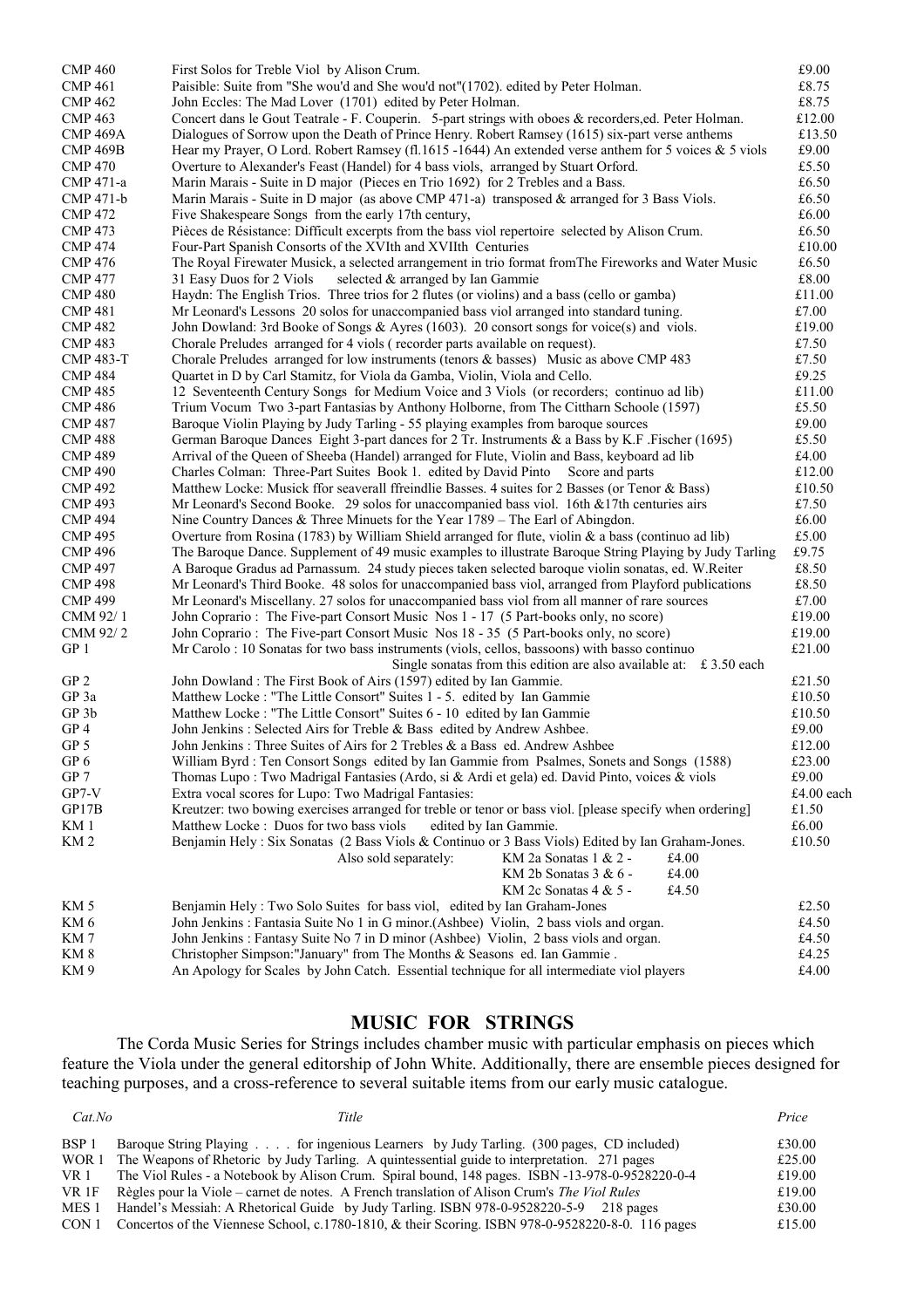| <b>CMP 460</b>   | First Solos for Treble Viol by Alison Crum.                                                                                                                         | £9.00            |
|------------------|---------------------------------------------------------------------------------------------------------------------------------------------------------------------|------------------|
| <b>CMP 461</b>   | Paisible: Suite from "She wou'd and She wou'd not"(1702). edited by Peter Holman.                                                                                   | £8.75            |
| <b>CMP 462</b>   | John Eccles: The Mad Lover (1701) edited by Peter Holman.                                                                                                           | £8.75            |
| <b>CMP 463</b>   | Concert dans le Gout Teatrale - F. Couperin. 5-part strings with oboes & recorders, ed. Peter Holman.                                                               | £12.00           |
| <b>CMP 469A</b>  | Dialogues of Sorrow upon the Death of Prince Henry. Robert Ramsey (1615) six-part verse anthems                                                                     | £13.50           |
| <b>CMP 469B</b>  | Hear my Prayer, O Lord. Robert Ramsey (fl.1615 -1644) An extended verse anthem for 5 voices & 5 viols                                                               | £9.00            |
| <b>CMP 470</b>   | Overture to Alexander's Feast (Handel) for 4 bass viols, arranged by Stuart Orford.                                                                                 | £5.50            |
| CMP 471-a        | Marin Marais - Suite in D major (Pieces en Trio 1692) for 2 Trebles and a Bass.                                                                                     | £6.50            |
| CMP 471-b        | Marin Marais - Suite in D major (as above CMP 471-a) transposed $\&$ arranged for 3 Bass Viols.                                                                     | £6.50            |
| <b>CMP 472</b>   | Five Shakespeare Songs from the early 17th century,                                                                                                                 | £6.00            |
| <b>CMP 473</b>   | Pièces de Résistance: Difficult excerpts from the bass viol repertoire selected by Alison Crum.                                                                     | £6.50            |
| <b>CMP 474</b>   | Four-Part Spanish Consorts of the XVIth and XVIIth Centuries                                                                                                        | £10.00           |
| <b>CMP 476</b>   | The Royal Firewater Musick, a selected arrangement in trio format from The Fireworks and Water Music                                                                | £6.50            |
| <b>CMP 477</b>   | 31 Easy Duos for 2 Viols<br>selected & arranged by Ian Gammie                                                                                                       | £8.00            |
| <b>CMP 480</b>   | Haydn: The English Trios. Three trios for 2 flutes (or violins) and a bass (cello or gamba)                                                                         | £11.00           |
| <b>CMP 481</b>   | Mr Leonard's Lessons 20 solos for unaccompanied bass viol arranged into standard tuning.                                                                            | £7.00            |
| <b>CMP 482</b>   | John Dowland: 3rd Booke of Songs & Ayres (1603). 20 consort songs for voice(s) and viols.                                                                           | £19.00           |
| <b>CMP 483</b>   | Chorale Preludes arranged for 4 viols (recorder parts available on request).                                                                                        | £7.50            |
| <b>CMP 483-T</b> | Chorale Preludes arranged for low instruments (tenors $\&$ basses) Music as above CMP 483                                                                           | £7.50            |
| <b>CMP 484</b>   | Quartet in D by Carl Stamitz, for Viola da Gamba, Violin, Viola and Cello.                                                                                          | £9.25            |
| <b>CMP 485</b>   | 12 Seventeenth Century Songs for Medium Voice and 3 Viols (or recorders; continuo ad lib)                                                                           | £11.00           |
| <b>CMP 486</b>   | Trium Vocum Two 3-part Fantasias by Anthony Holborne, from The Cittharn Schoole (1597)                                                                              | £5.50            |
| <b>CMP 487</b>   | Baroque Violin Playing by Judy Tarling - 55 playing examples from baroque sources                                                                                   | £9.00            |
| <b>CMP 488</b>   | German Baroque Dances Eight 3-part dances for 2 Tr. Instruments & a Bass by K.F. Fischer (1695)                                                                     | £5.50            |
| <b>CMP 489</b>   | Arrival of the Queen of Sheeba (Handel) arranged for Flute, Violin and Bass, keyboard ad lib                                                                        | £4.00            |
| <b>CMP 490</b>   | Charles Colman: Three-Part Suites Book 1. edited by David Pinto<br>Score and parts                                                                                  | £12.00           |
| <b>CMP 492</b>   | Matthew Locke: Musick ffor seaverall ffreindlie Basses. 4 suites for 2 Basses (or Tenor & Bass)                                                                     | £10.50           |
| <b>CMP 493</b>   | Mr Leonard's Second Booke. 29 solos for unaccompanied bass viol. 16th $& 17$ th centuries airs                                                                      | £7.50            |
| <b>CMP 494</b>   | Nine Country Dances & Three Minuets for the Year $1789 -$ The Earl of Abingdon.                                                                                     | £6.00            |
| <b>CMP 495</b>   | Overture from Rosina (1783) by William Shield arranged for flute, violin & a bass (continuo ad lib)                                                                 | £5.00            |
| <b>CMP 496</b>   | The Baroque Dance. Supplement of 49 music examples to illustrate Baroque String Playing by Judy Tarling                                                             | £9.75            |
| <b>CMP 497</b>   | A Baroque Gradus ad Parnassum. 24 study pieces taken selected baroque violin sonatas, ed. W.Reiter                                                                  | £8.50            |
| <b>CMP 498</b>   | Mr Leonard's Third Booke. 48 solos for unaccompanied bass viol, arranged from Playford publications                                                                 | £8.50            |
| <b>CMP 499</b>   | Mr Leonard's Miscellany. 27 solos for unaccompanied bass viol from all manner of rare sources                                                                       | £7.00            |
| CMM 92/1         | John Coprario: The Five-part Consort Music Nos 1 - 17 (5 Part-books only, no score)                                                                                 | £19.00<br>£19.00 |
| CMM 92/2<br>GP 1 | John Coprario: The Five-part Consort Music Nos 18 - 35 (5 Part-books only, no score)                                                                                | £21.00           |
|                  | Mr Carolo: 10 Sonatas for two bass instruments (viols, cellos, bassoons) with basso continuo<br>Single sonatas from this edition are also available at: £ 3.50 each |                  |
| GP <sub>2</sub>  | John Dowland: The First Book of Airs (1597) edited by Ian Gammie.                                                                                                   | £21.50           |
| GP 3a            | Matthew Locke: "The Little Consort" Suites 1 - 5. edited by Ian Gammie                                                                                              | £10.50           |
| GP 3b            | Matthew Locke : "The Little Consort" Suites 6 - 10 edited by Ian Gammie                                                                                             | £10.50           |
| GP4              | John Jenkins: Selected Airs for Treble & Bass edited by Andrew Ashbee.                                                                                              | £9.00            |
| GP <sub>5</sub>  | John Jenkins: Three Suites of Airs for 2 Trebles & a Bass ed. Andrew Ashbee                                                                                         | £12.00           |
| ${\rm GP}$ 6     | William Byrd: Ten Consort Songs edited by Ian Gammie from Psalmes, Sonets and Songs (1588)                                                                          | £23.00           |
| GP 7             | Thomas Lupo: Two Madrigal Fantasies (Ardo, si & Ardi et gela) ed. David Pinto, voices & viols                                                                       | £9.00            |
| $GP7-V$          | Extra vocal scores for Lupo: Two Madrigal Fantasies:                                                                                                                | £4.00 each       |
| GP17B            | Kreutzer: two bowing exercises arranged for treble or tenor or bass viol. [please specify when ordering]                                                            | £1.50            |
| KM 1             | Matthew Locke: Duos for two bass viols<br>edited by Ian Gammie.                                                                                                     | £6.00            |
| KM <sub>2</sub>  | Benjamin Hely: Six Sonatas (2 Bass Viols & Continuo or 3 Bass Viols) Edited by Ian Graham-Jones.                                                                    | £10.50           |
|                  | KM 2a Sonatas 1 & 2 -<br>Also sold separately:<br>£4.00                                                                                                             |                  |
|                  | KM 2b Sonatas 3 & 6 -<br>£4.00                                                                                                                                      |                  |
|                  | KM 2c Sonatas 4 & 5 -<br>£4.50                                                                                                                                      |                  |
| KM 5             | Benjamin Hely: Two Solo Suites for bass viol, edited by Ian Graham-Jones                                                                                            | £2.50            |
| KM 6             | John Jenkins: Fantasia Suite No 1 in G minor (Ashbee) Violin, 2 bass viols and organ.                                                                               | £4.50            |
| KM 7             | John Jenkins: Fantasy Suite No 7 in D minor (Ashbee) Violin, 2 bass viols and organ.                                                                                | £4.50            |
| KM8              | Christopher Simpson:"January" from The Months & Seasons ed. Ian Gammie.                                                                                             | £4.25            |
| KM9              | An Apology for Scales by John Catch. Essential technique for all intermediate viol players                                                                          | £4.00            |

## **MUSIC FOR STRINGS**

The Corda Music Series for Strings includes chamber music with particular emphasis on pieces which feature the Viola under the general editorship of John White. Additionally, there are ensemble pieces designed for teaching purposes, and a cross-reference to several suitable items from our early music catalogue.

| CatNo | Title                                                                                                   | Price  |
|-------|---------------------------------------------------------------------------------------------------------|--------|
| BSP 1 | Baroque String Playing for ingenious Learners by Judy Tarling. (300 pages, CD included)                 | £30.00 |
| WOR 1 | The Weapons of Rhetoric by Judy Tarling. A quintessential guide to interpretation. 271 pages            | £25.00 |
| VR 1  | The Viol Rules - a Notebook by Alison Crum. Spiral bound, 148 pages. ISBN -13-978-0-9528220-0-4         | £19.00 |
| VR 1F | Règles pour la Viole – carnet de notes. A French translation of Alison Crum's The Viol Rules            | £19.00 |
| MES 1 | Handel's Messiah: A Rhetorical Guide by Judy Tarling. ISBN 978-0-9528220-5-9 218 pages                  | £30.00 |
|       | CON 1 Concertos of the Viennese School, c.1780-1810, & their Scoring, ISBN 978-0-9528220-8-0, 116 pages | £15.00 |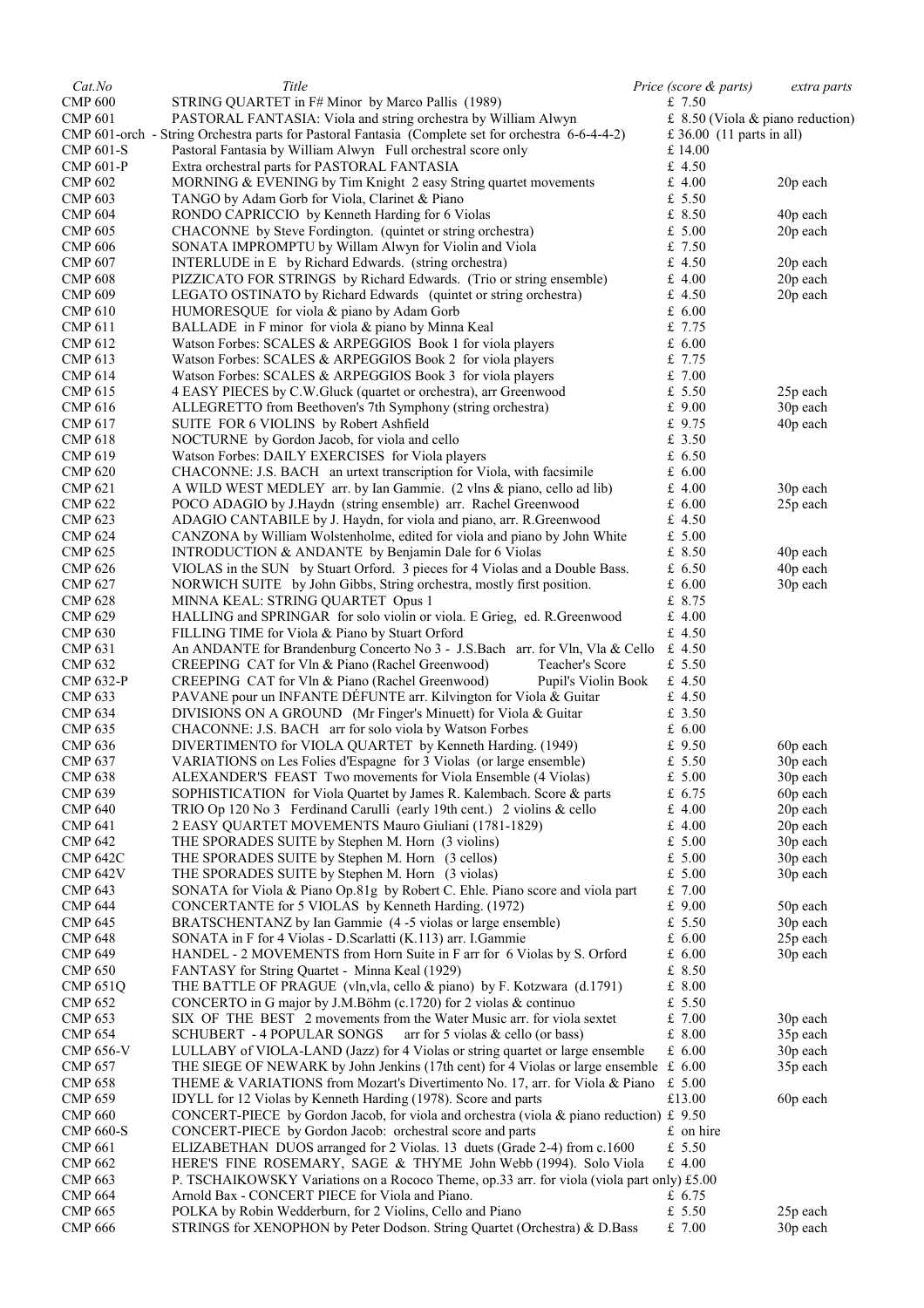| Cat.No                           | Title                                                                                                                             | Price (score & parts)       | extra parts                        |
|----------------------------------|-----------------------------------------------------------------------------------------------------------------------------------|-----------------------------|------------------------------------|
| <b>CMP 600</b>                   | STRING QUARTET in F# Minor by Marco Pallis (1989)                                                                                 | £ $7.50$                    |                                    |
| <b>CMP 601</b>                   | PASTORAL FANTASIA: Viola and string orchestra by William Alwyn                                                                    |                             | £ 8.50 (Viola $&$ piano reduction) |
|                                  | CMP 601-orch - String Orchestra parts for Pastoral Fantasia (Complete set for orchestra 6-6-4-4-2)                                | £ 36.00 $(11$ parts in all) |                                    |
| <b>CMP 601-S</b>                 | Pastoral Fantasia by William Alwyn Full orchestral score only                                                                     | £14.00                      |                                    |
| <b>CMP 601-P</b>                 | Extra orchestral parts for PASTORAL FANTASIA                                                                                      | £ $4.50$                    |                                    |
| <b>CMP 602</b>                   | MORNING & EVENING by Tim Knight 2 easy String quartet movements                                                                   | $£$ 4.00                    | 20p each                           |
| <b>CMP 603</b>                   | TANGO by Adam Gorb for Viola, Clarinet & Piano                                                                                    | £ $5.50$                    |                                    |
| <b>CMP 604</b>                   | RONDO CAPRICCIO by Kenneth Harding for 6 Violas                                                                                   | £ 8.50                      | 40 <sub>p</sub> each               |
| <b>CMP 605</b>                   | CHACONNE by Steve Fordington. (quintet or string orchestra)                                                                       | £ 5.00                      | 20p each                           |
| <b>CMP 606</b>                   | SONATA IMPROMPTU by Willam Alwyn for Violin and Viola                                                                             | £ $7.50$                    |                                    |
| <b>CMP 607</b>                   | INTERLUDE in E by Richard Edwards. (string orchestra)                                                                             | £ 4.50                      | 20p each                           |
| <b>CMP 608</b>                   | PIZZICATO FOR STRINGS by Richard Edwards. (Trio or string ensemble)                                                               | $£$ 4.00                    | 20p each                           |
| <b>CMP 609</b>                   | LEGATO OSTINATO by Richard Edwards (quintet or string orchestra)                                                                  | £ 4.50                      | 20p each                           |
| <b>CMP 610</b>                   | HUMORESQUE for viola & piano by Adam Gorb                                                                                         | £ 6.00                      |                                    |
| <b>CMP 611</b>                   | BALLADE in F minor for viola & piano by Minna Keal                                                                                | £ $7.75$                    |                                    |
| <b>CMP 612</b>                   | Watson Forbes: SCALES & ARPEGGIOS Book 1 for viola players                                                                        | £6.00                       |                                    |
| <b>CMP 613</b>                   | Watson Forbes: SCALES & ARPEGGIOS Book 2 for viola players                                                                        | £ $7.75$                    |                                    |
| <b>CMP 614</b>                   | Watson Forbes: SCALES & ARPEGGIOS Book 3 for viola players                                                                        | £7.00                       |                                    |
| <b>CMP 615</b>                   | 4 EASY PIECES by C.W. Gluck (quartet or orchestra), arr Greenwood                                                                 | £ $5.50$                    | 25p each                           |
|                                  | ALLEGRETTO from Beethoven's 7th Symphony (string orchestra)                                                                       | $£$ 9.00                    | 30p each                           |
| <b>CMP 616</b><br><b>CMP 617</b> |                                                                                                                                   | £ 9.75                      |                                    |
|                                  | SUITE FOR 6 VIOLINS by Robert Ashfield                                                                                            |                             | 40 <sub>p</sub> each               |
| <b>CMP 618</b>                   | NOCTURNE by Gordon Jacob, for viola and cello                                                                                     | £ $3.50$                    |                                    |
| <b>CMP 619</b>                   | Watson Forbes: DAILY EXERCISES for Viola players                                                                                  | £ 6.50                      |                                    |
| <b>CMP 620</b>                   | CHACONNE: J.S. BACH an urtext transcription for Viola, with facsimile                                                             | £ 6.00                      |                                    |
| <b>CMP 621</b>                   | A WILD WEST MEDLEY arr. by Ian Gammie. (2 vlns & piano, cello ad lib)                                                             | £ $4.00$                    | 30p each                           |
| <b>CMP 622</b>                   | POCO ADAGIO by J.Haydn (string ensemble) arr. Rachel Greenwood                                                                    | £6.00                       | 25p each                           |
| <b>CMP 623</b>                   | ADAGIO CANTABILE by J. Haydn, for viola and piano, arr. R. Greenwood                                                              | £ $4.50$                    |                                    |
| <b>CMP 624</b>                   | CANZONA by William Wolstenholme, edited for viola and piano by John White                                                         | £ 5.00                      |                                    |
| <b>CMP 625</b>                   | INTRODUCTION & ANDANTE by Benjamin Dale for 6 Violas                                                                              | £ 8.50                      | 40p each                           |
| <b>CMP 626</b>                   | VIOLAS in the SUN by Stuart Orford. 3 pieces for 4 Violas and a Double Bass.                                                      | £6.50                       | 40p each                           |
| <b>CMP 627</b>                   | NORWICH SUITE by John Gibbs, String orchestra, mostly first position.                                                             | £ 6.00                      | 30p each                           |
| <b>CMP 628</b>                   | MINNA KEAL: STRING QUARTET Opus 1                                                                                                 | £ 8.75                      |                                    |
| <b>CMP 629</b>                   | HALLING and SPRINGAR for solo violin or viola. E Grieg, ed. R.Greenwood                                                           | $£$ 4.00                    |                                    |
| <b>CMP 630</b>                   | FILLING TIME for Viola & Piano by Stuart Orford                                                                                   | £ 4.50                      |                                    |
| <b>CMP 631</b>                   | An ANDANTE for Brandenburg Concerto No 3 - J.S.Bach arr. for Vln, Vla & Cello                                                     | £ 4.50                      |                                    |
| <b>CMP 632</b>                   | CREEPING CAT for Vln & Piano (Rachel Greenwood)<br>Teacher's Score                                                                | £ $5.50$                    |                                    |
| <b>CMP 632-P</b>                 | CREEPING CAT for Vln & Piano (Rachel Greenwood)<br>Pupil's Violin Book                                                            | £ 4.50                      |                                    |
| <b>CMP 633</b>                   | PAVANE pour un INFANTE DEFUNTE arr. Kilvington for Viola & Guitar                                                                 | £ 4.50                      |                                    |
| <b>CMP 634</b>                   | DIVISIONS ON A GROUND (Mr Finger's Minuett) for Viola & Guitar                                                                    | £ $3.50$                    |                                    |
| <b>CMP 635</b>                   | CHACONNE: J.S. BACH arr for solo viola by Watson Forbes                                                                           | £6.00                       |                                    |
| <b>CMP 636</b>                   | DIVERTIMENTO for VIOLA QUARTET by Kenneth Harding. (1949)                                                                         | $£$ 9.50                    | 60p each                           |
| <b>CMP 637</b>                   | VARIATIONS on Les Folies d'Espagne for 3 Violas (or large ensemble)                                                               | £ 5.50                      | 30p each                           |
| <b>CMP 638</b>                   | ALEXANDER'S FEAST Two movements for Viola Ensemble (4 Violas)                                                                     | £ 5.00                      | 30p each                           |
| <b>CMP 639</b>                   | SOPHISTICATION for Viola Quartet by James R. Kalembach. Score & parts                                                             | £ 6.75                      | 60p each                           |
| <b>CMP 640</b>                   | TRIO Op 120 No 3 Ferdinand Carulli (early 19th cent.) 2 violins & cello                                                           | £ $4.00$                    | 20p each                           |
| <b>CMP 641</b>                   | 2 EASY QUARTET MOVEMENTS Mauro Giuliani (1781-1829)                                                                               | £ $4.00$                    | 20p each                           |
| <b>CMP 642</b>                   | THE SPORADES SUITE by Stephen M. Horn (3 violins)                                                                                 | £ $5.00$                    | 30p each                           |
| <b>CMP 642C</b>                  | THE SPORADES SUITE by Stephen M. Horn (3 cellos)                                                                                  | £ 5.00                      | 30p each                           |
| <b>CMP 642V</b>                  |                                                                                                                                   | £ $5.00$                    | 30p each                           |
| <b>CMP 643</b>                   | THE SPORADES SUITE by Stephen M. Horn (3 violas)<br>SONATA for Viola & Piano Op.81g by Robert C. Ehle. Piano score and viola part | £7.00                       |                                    |
|                                  |                                                                                                                                   | $£$ 9.00                    |                                    |
| <b>CMP 644</b>                   | CONCERTANTE for 5 VIOLAS by Kenneth Harding. (1972)                                                                               |                             | 50p each                           |
| <b>CMP 645</b>                   | BRATSCHENTANZ by Ian Gammie (4 -5 violas or large ensemble)<br>SONATA in F for 4 Violas - D.Scarlatti (K.113) arr. I.Gammie       | £ $5.50$                    | 30p each                           |
| <b>CMP 648</b>                   |                                                                                                                                   | £ 6.00                      | 25p each                           |
| <b>CMP 649</b>                   | HANDEL - 2 MOVEMENTS from Horn Suite in F arr for 6 Violas by S. Orford                                                           | £ 6.00                      | 30p each                           |
| <b>CMP 650</b>                   | FANTASY for String Quartet - Minna Keal (1929)                                                                                    | £ $8.50$                    |                                    |
| <b>CMP 651Q</b>                  | THE BATTLE OF PRAGUE (vln, vla, cello & piano) by F. Kotzwara (d.1791)                                                            | £ 8.00                      |                                    |
| <b>CMP 652</b>                   | CONCERTO in G major by J.M.Böhm $(c.1720)$ for 2 violas & continuo                                                                | £ 5.50                      |                                    |
| <b>CMP 653</b>                   | SIX OF THE BEST 2 movements from the Water Music arr. for viola sextet                                                            | £7.00                       | 30p each                           |
| <b>CMP 654</b>                   | <b>SCHUBERT - 4 POPULAR SONGS</b><br>arr for 5 violas $&$ cello (or bass)                                                         | £ 8.00                      | 35p each                           |
| <b>CMP 656-V</b>                 | LULLABY of VIOLA-LAND (Jazz) for 4 Violas or string quartet or large ensemble                                                     | £ 6.00                      | 30p each                           |
| <b>CMP 657</b>                   | THE SIEGE OF NEWARK by John Jenkins (17th cent) for 4 Violas or large ensemble $\pm$ 6.00                                         |                             | 35p each                           |
| <b>CMP 658</b>                   | THEME & VARIATIONS from Mozart's Divertimento No. 17, arr. for Viola & Piano                                                      | £ 5.00                      |                                    |
| <b>CMP 659</b>                   | IDYLL for 12 Violas by Kenneth Harding (1978). Score and parts                                                                    | £13.00                      | 60p each                           |
| <b>CMP 660</b>                   | CONCERT-PIECE by Gordon Jacob, for viola and orchestra (viola & piano reduction) £ 9.50                                           |                             |                                    |
| <b>CMP 660-S</b>                 | CONCERT-PIECE by Gordon Jacob: orchestral score and parts                                                                         | £ on hire                   |                                    |
| <b>CMP 661</b>                   | ELIZABETHAN DUOS arranged for 2 Violas. 13 duets (Grade 2-4) from c.1600                                                          | £ $5.50$                    |                                    |
| <b>CMP 662</b>                   | HERE'S FINE ROSEMARY, SAGE & THYME John Webb (1994). Solo Viola                                                                   | £4.00                       |                                    |
| <b>CMP 663</b>                   | P. TSCHAIKOWSKY Variations on a Rococo Theme, op.33 arr. for viola (viola part only) £5.00                                        |                             |                                    |
| <b>CMP 664</b>                   | Arnold Bax - CONCERT PIECE for Viola and Piano.                                                                                   | £ $6.75$                    |                                    |
| <b>CMP 665</b>                   | POLKA by Robin Wedderburn, for 2 Violins, Cello and Piano                                                                         | £ $5.50$                    | 25p each                           |
| <b>CMP 666</b>                   | STRINGS for XENOPHON by Peter Dodson. String Quartet (Orchestra) & D. Bass                                                        | £7.00                       | 30p each                           |